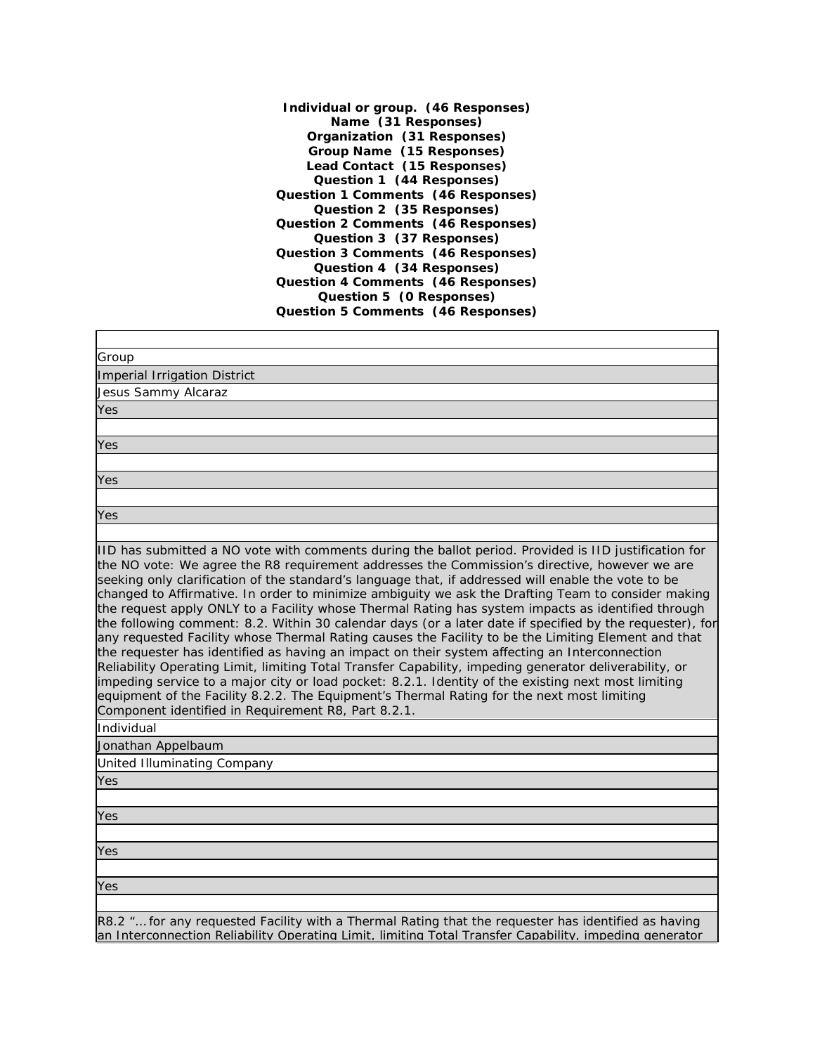**Individual or group. (46 Responses) Name (31 Responses) Organization (31 Responses) Group Name (15 Responses) Lead Contact (15 Responses) Question 1 (44 Responses) Question 1 Comments (46 Responses) Question 2 (35 Responses) Question 2 Comments (46 Responses) Question 3 (37 Responses) Question 3 Comments (46 Responses) Question 4 (34 Responses) Question 4 Comments (46 Responses) Question 5 (0 Responses) Question 5 Comments (46 Responses)**

| Group                                                                                                                                                                                                                                                                                                                                                                                                                                                                                                                                                                                                                                                                                                                                                                                                                                                                                                                                                                                                                                                                                                                                                                                                                             |
|-----------------------------------------------------------------------------------------------------------------------------------------------------------------------------------------------------------------------------------------------------------------------------------------------------------------------------------------------------------------------------------------------------------------------------------------------------------------------------------------------------------------------------------------------------------------------------------------------------------------------------------------------------------------------------------------------------------------------------------------------------------------------------------------------------------------------------------------------------------------------------------------------------------------------------------------------------------------------------------------------------------------------------------------------------------------------------------------------------------------------------------------------------------------------------------------------------------------------------------|
| Imperial Irrigation District                                                                                                                                                                                                                                                                                                                                                                                                                                                                                                                                                                                                                                                                                                                                                                                                                                                                                                                                                                                                                                                                                                                                                                                                      |
| Jesus Sammy Alcaraz                                                                                                                                                                                                                                                                                                                                                                                                                                                                                                                                                                                                                                                                                                                                                                                                                                                                                                                                                                                                                                                                                                                                                                                                               |
| Yes                                                                                                                                                                                                                                                                                                                                                                                                                                                                                                                                                                                                                                                                                                                                                                                                                                                                                                                                                                                                                                                                                                                                                                                                                               |
|                                                                                                                                                                                                                                                                                                                                                                                                                                                                                                                                                                                                                                                                                                                                                                                                                                                                                                                                                                                                                                                                                                                                                                                                                                   |
| Yes                                                                                                                                                                                                                                                                                                                                                                                                                                                                                                                                                                                                                                                                                                                                                                                                                                                                                                                                                                                                                                                                                                                                                                                                                               |
|                                                                                                                                                                                                                                                                                                                                                                                                                                                                                                                                                                                                                                                                                                                                                                                                                                                                                                                                                                                                                                                                                                                                                                                                                                   |
| Yes                                                                                                                                                                                                                                                                                                                                                                                                                                                                                                                                                                                                                                                                                                                                                                                                                                                                                                                                                                                                                                                                                                                                                                                                                               |
|                                                                                                                                                                                                                                                                                                                                                                                                                                                                                                                                                                                                                                                                                                                                                                                                                                                                                                                                                                                                                                                                                                                                                                                                                                   |
| Yes                                                                                                                                                                                                                                                                                                                                                                                                                                                                                                                                                                                                                                                                                                                                                                                                                                                                                                                                                                                                                                                                                                                                                                                                                               |
| IID has submitted a NO vote with comments during the ballot period. Provided is IID justification for<br>the NO vote: We agree the R8 requirement addresses the Commission's directive, however we are<br>seeking only clarification of the standard's language that, if addressed will enable the vote to be<br>changed to Affirmative. In order to minimize ambiguity we ask the Drafting Team to consider making<br>the request apply ONLY to a Facility whose Thermal Rating has system impacts as identified through<br>the following comment: 8.2. Within 30 calendar days (or a later date if specified by the requester), for<br>any requested Facility whose Thermal Rating causes the Facility to be the Limiting Element and that<br>the requester has identified as having an impact on their system affecting an Interconnection<br>Reliability Operating Limit, limiting Total Transfer Capability, impeding generator deliverability, or<br>impeding service to a major city or load pocket: 8.2.1. Identity of the existing next most limiting<br>equipment of the Facility 8.2.2. The Equipment's Thermal Rating for the next most limiting<br>Component identified in Requirement R8, Part 8.2.1.<br>Individual |
| Jonathan Appelbaum                                                                                                                                                                                                                                                                                                                                                                                                                                                                                                                                                                                                                                                                                                                                                                                                                                                                                                                                                                                                                                                                                                                                                                                                                |
| United Illuminating Company                                                                                                                                                                                                                                                                                                                                                                                                                                                                                                                                                                                                                                                                                                                                                                                                                                                                                                                                                                                                                                                                                                                                                                                                       |
| Yes                                                                                                                                                                                                                                                                                                                                                                                                                                                                                                                                                                                                                                                                                                                                                                                                                                                                                                                                                                                                                                                                                                                                                                                                                               |
|                                                                                                                                                                                                                                                                                                                                                                                                                                                                                                                                                                                                                                                                                                                                                                                                                                                                                                                                                                                                                                                                                                                                                                                                                                   |
| Yes                                                                                                                                                                                                                                                                                                                                                                                                                                                                                                                                                                                                                                                                                                                                                                                                                                                                                                                                                                                                                                                                                                                                                                                                                               |
|                                                                                                                                                                                                                                                                                                                                                                                                                                                                                                                                                                                                                                                                                                                                                                                                                                                                                                                                                                                                                                                                                                                                                                                                                                   |
| Yes                                                                                                                                                                                                                                                                                                                                                                                                                                                                                                                                                                                                                                                                                                                                                                                                                                                                                                                                                                                                                                                                                                                                                                                                                               |
|                                                                                                                                                                                                                                                                                                                                                                                                                                                                                                                                                                                                                                                                                                                                                                                                                                                                                                                                                                                                                                                                                                                                                                                                                                   |
| Yes                                                                                                                                                                                                                                                                                                                                                                                                                                                                                                                                                                                                                                                                                                                                                                                                                                                                                                                                                                                                                                                                                                                                                                                                                               |
|                                                                                                                                                                                                                                                                                                                                                                                                                                                                                                                                                                                                                                                                                                                                                                                                                                                                                                                                                                                                                                                                                                                                                                                                                                   |
| R8.2 " for any requested Facility with a Thermal Rating that the requester has identified as having                                                                                                                                                                                                                                                                                                                                                                                                                                                                                                                                                                                                                                                                                                                                                                                                                                                                                                                                                                                                                                                                                                                               |

an Interconnection Reliability Operating Limit, limiting Total Transfer Capability, impeding generator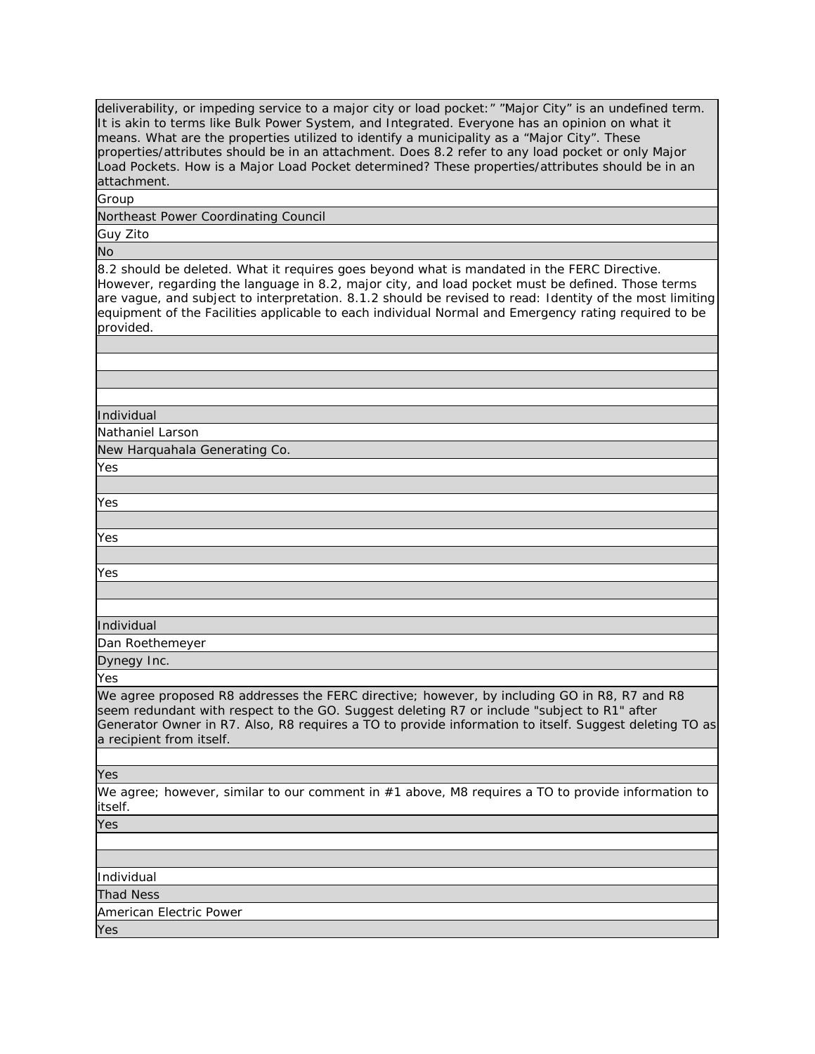deliverability, or impeding service to a major city or load pocket:" "Major City" is an undefined term. It is akin to terms like Bulk Power System, and Integrated. Everyone has an opinion on what it means. What are the properties utilized to identify a municipality as a "Major City". These properties/attributes should be in an attachment. Does 8.2 refer to any load pocket or only Major Load Pockets. How is a Major Load Pocket determined? These properties/attributes should be in an attachment.

Group

Northeast Power Coordinating Council

Guy Zito

No

8.2 should be deleted. What it requires goes beyond what is mandated in the FERC Directive. However, regarding the language in 8.2, major city, and load pocket must be defined. Those terms are vague, and subject to interpretation. 8.1.2 should be revised to read: Identity of the most limiting equipment of the Facilities applicable to each individual Normal and Emergency rating required to be provided.

Individual

Nathaniel Larson

New Harquahala Generating Co.

Yes

Yes

Yes

Yes

Individual

Dan Roethemeyer

Dynegy Inc.

Yes

We agree proposed R8 addresses the FERC directive; however, by including GO in R8, R7 and R8 seem redundant with respect to the GO. Suggest deleting R7 or include "subject to R1" after Generator Owner in R7. Also, R8 requires a TO to provide information to itself. Suggest deleting TO as a recipient from itself.

Yes

We agree; however, similar to our comment in #1 above, M8 requires a TO to provide information to itself.

Yes

Individual

Thad Ness

American Electric Power

Yes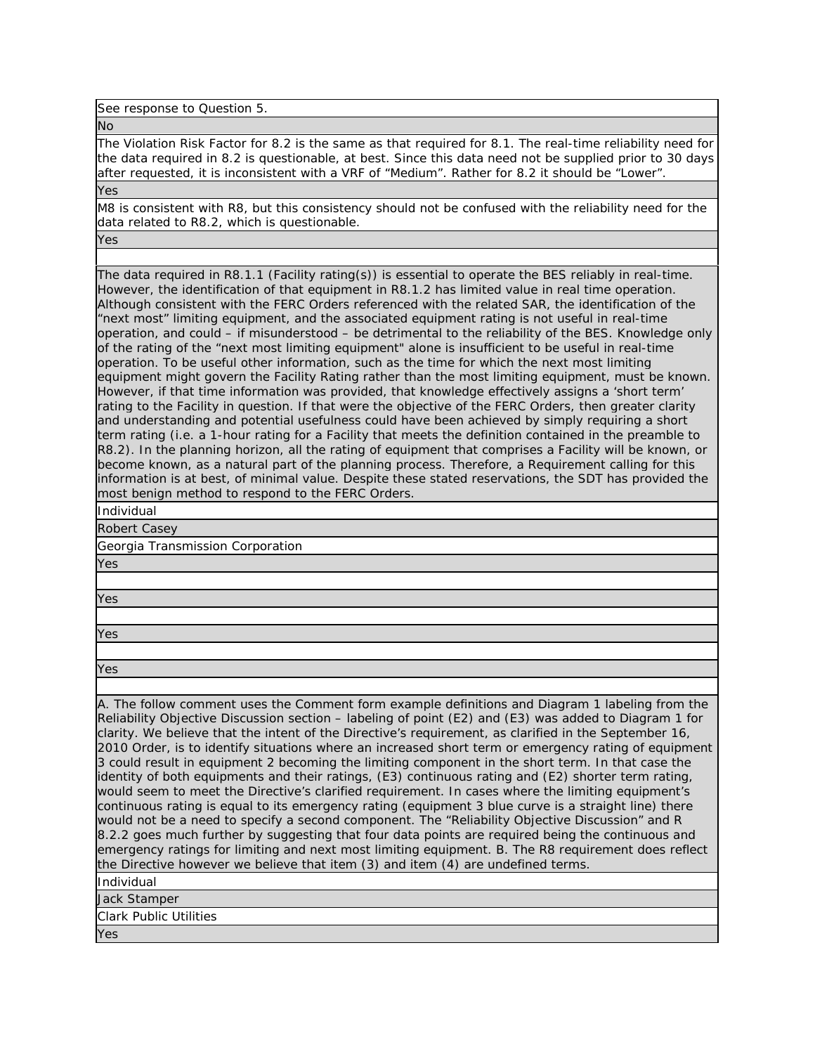See response to Question 5.

No

The Violation Risk Factor for 8.2 is the same as that required for 8.1. The real-time reliability need for the data required in 8.2 is questionable, at best. Since this data need not be supplied prior to 30 days after requested, it is inconsistent with a VRF of "Medium". Rather for 8.2 it should be "Lower". Yes

M8 is consistent with R8, but this consistency should not be confused with the reliability need for the data related to R8.2, which is questionable.

Yes

The data required in R8.1.1 (Facility rating(s)) is essential to operate the BES reliably in real-time. However, the identification of that equipment in R8.1.2 has limited value in real time operation. Although consistent with the FERC Orders referenced with the related SAR, the identification of the "next most" limiting equipment, and the associated equipment rating is not useful in real-time operation, and could – if misunderstood – be detrimental to the reliability of the BES. Knowledge only of the rating of the "next most limiting equipment" alone is insufficient to be useful in real-time operation. To be useful other information, such as the time for which the next most limiting equipment might govern the Facility Rating rather than the most limiting equipment, must be known. However, if that time information was provided, that knowledge effectively assigns a 'short term' rating to the Facility in question. If that were the objective of the FERC Orders, then greater clarity and understanding and potential usefulness could have been achieved by simply requiring a short term rating (i.e. a 1-hour rating for a Facility that meets the definition contained in the preamble to R8.2). In the planning horizon, all the rating of equipment that comprises a Facility will be known, or become known, as a natural part of the planning process. Therefore, a Requirement calling for this information is at best, of minimal value. Despite these stated reservations, the SDT has provided the most benign method to respond to the FERC Orders.

Individual

Robert Casey

Georgia Transmission Corporation

Yes

Yes

Yes

Yes

A. The follow comment uses the Comment form example definitions and Diagram 1 labeling from the Reliability Objective Discussion section – labeling of point (E2) and (E3) was added to Diagram 1 for clarity. We believe that the intent of the Directive's requirement, as clarified in the September 16, 2010 Order, is to identify situations where an increased short term or emergency rating of equipment 3 could result in equipment 2 becoming the limiting component in the short term. In that case the identity of both equipments and their ratings, (E3) continuous rating and (E2) shorter term rating, would seem to meet the Directive's clarified requirement. In cases where the limiting equipment's continuous rating is equal to its emergency rating (equipment 3 blue curve is a straight line) there would not be a need to specify a second component. The "Reliability Objective Discussion" and R 8.2.2 goes much further by suggesting that four data points are required being the continuous and emergency ratings for limiting and next most limiting equipment. B. The R8 requirement does reflect the Directive however we believe that item (3) and item (4) are undefined terms.

Individual

Jack Stamper

Clark Public Utilities

Yes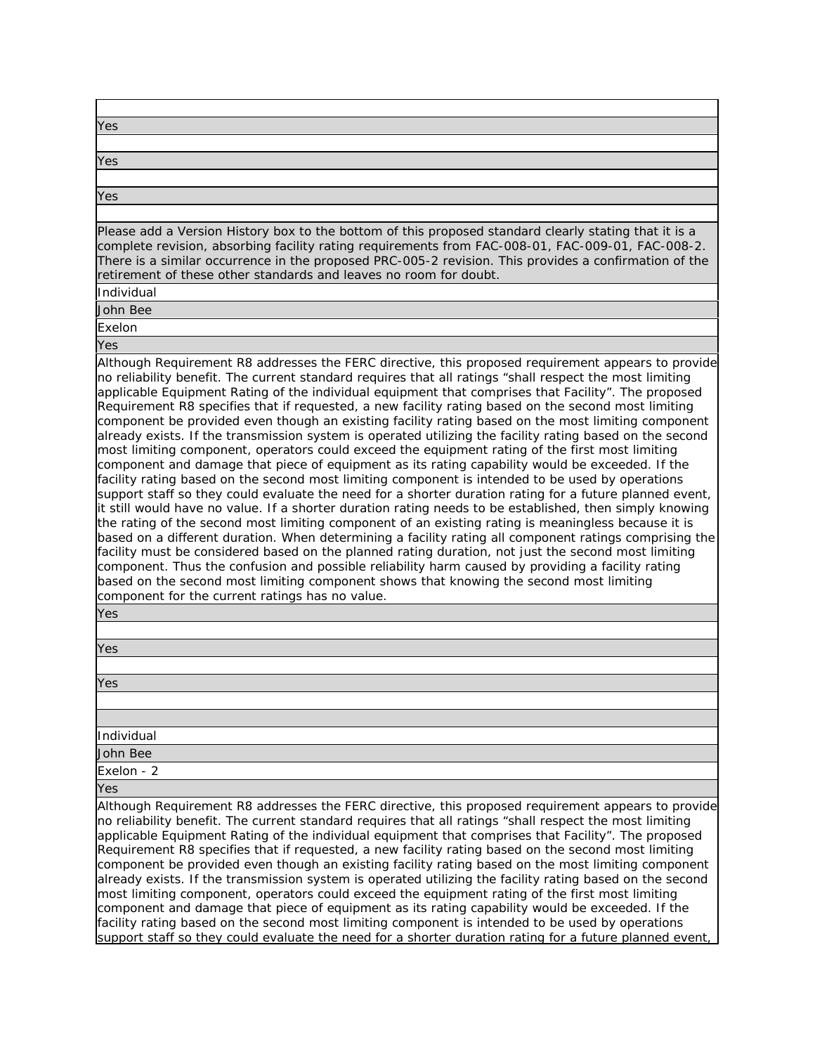| Yes                                                                                                                                                                                                                                                                                                                                                                                                                                                                                                                                                                                                                                                                                                                                                                                                                                                                                                                                                                                                                                                                                                                                                                                                                                                                                                                                                                                                                                                                                                                                                                                                                                                                                                                                                             |
|-----------------------------------------------------------------------------------------------------------------------------------------------------------------------------------------------------------------------------------------------------------------------------------------------------------------------------------------------------------------------------------------------------------------------------------------------------------------------------------------------------------------------------------------------------------------------------------------------------------------------------------------------------------------------------------------------------------------------------------------------------------------------------------------------------------------------------------------------------------------------------------------------------------------------------------------------------------------------------------------------------------------------------------------------------------------------------------------------------------------------------------------------------------------------------------------------------------------------------------------------------------------------------------------------------------------------------------------------------------------------------------------------------------------------------------------------------------------------------------------------------------------------------------------------------------------------------------------------------------------------------------------------------------------------------------------------------------------------------------------------------------------|
|                                                                                                                                                                                                                                                                                                                                                                                                                                                                                                                                                                                                                                                                                                                                                                                                                                                                                                                                                                                                                                                                                                                                                                                                                                                                                                                                                                                                                                                                                                                                                                                                                                                                                                                                                                 |
| Yes                                                                                                                                                                                                                                                                                                                                                                                                                                                                                                                                                                                                                                                                                                                                                                                                                                                                                                                                                                                                                                                                                                                                                                                                                                                                                                                                                                                                                                                                                                                                                                                                                                                                                                                                                             |
|                                                                                                                                                                                                                                                                                                                                                                                                                                                                                                                                                                                                                                                                                                                                                                                                                                                                                                                                                                                                                                                                                                                                                                                                                                                                                                                                                                                                                                                                                                                                                                                                                                                                                                                                                                 |
|                                                                                                                                                                                                                                                                                                                                                                                                                                                                                                                                                                                                                                                                                                                                                                                                                                                                                                                                                                                                                                                                                                                                                                                                                                                                                                                                                                                                                                                                                                                                                                                                                                                                                                                                                                 |
| <b>Yes</b>                                                                                                                                                                                                                                                                                                                                                                                                                                                                                                                                                                                                                                                                                                                                                                                                                                                                                                                                                                                                                                                                                                                                                                                                                                                                                                                                                                                                                                                                                                                                                                                                                                                                                                                                                      |
|                                                                                                                                                                                                                                                                                                                                                                                                                                                                                                                                                                                                                                                                                                                                                                                                                                                                                                                                                                                                                                                                                                                                                                                                                                                                                                                                                                                                                                                                                                                                                                                                                                                                                                                                                                 |
| Please add a Version History box to the bottom of this proposed standard clearly stating that it is a<br>complete revision, absorbing facility rating requirements from FAC-008-01, FAC-009-01, FAC-008-2.<br>There is a similar occurrence in the proposed PRC-005-2 revision. This provides a confirmation of the<br>retirement of these other standards and leaves no room for doubt.                                                                                                                                                                                                                                                                                                                                                                                                                                                                                                                                                                                                                                                                                                                                                                                                                                                                                                                                                                                                                                                                                                                                                                                                                                                                                                                                                                        |
| Individual                                                                                                                                                                                                                                                                                                                                                                                                                                                                                                                                                                                                                                                                                                                                                                                                                                                                                                                                                                                                                                                                                                                                                                                                                                                                                                                                                                                                                                                                                                                                                                                                                                                                                                                                                      |
| <b>John Bee</b>                                                                                                                                                                                                                                                                                                                                                                                                                                                                                                                                                                                                                                                                                                                                                                                                                                                                                                                                                                                                                                                                                                                                                                                                                                                                                                                                                                                                                                                                                                                                                                                                                                                                                                                                                 |
| Exelon                                                                                                                                                                                                                                                                                                                                                                                                                                                                                                                                                                                                                                                                                                                                                                                                                                                                                                                                                                                                                                                                                                                                                                                                                                                                                                                                                                                                                                                                                                                                                                                                                                                                                                                                                          |
| Yes                                                                                                                                                                                                                                                                                                                                                                                                                                                                                                                                                                                                                                                                                                                                                                                                                                                                                                                                                                                                                                                                                                                                                                                                                                                                                                                                                                                                                                                                                                                                                                                                                                                                                                                                                             |
|                                                                                                                                                                                                                                                                                                                                                                                                                                                                                                                                                                                                                                                                                                                                                                                                                                                                                                                                                                                                                                                                                                                                                                                                                                                                                                                                                                                                                                                                                                                                                                                                                                                                                                                                                                 |
| Although Requirement R8 addresses the FERC directive, this proposed requirement appears to provide<br>no reliability benefit. The current standard requires that all ratings "shall respect the most limiting<br>applicable Equipment Rating of the individual equipment that comprises that Facility". The proposed<br>Requirement R8 specifies that if requested, a new facility rating based on the second most limiting<br>component be provided even though an existing facility rating based on the most limiting component<br>already exists. If the transmission system is operated utilizing the facility rating based on the second<br>most limiting component, operators could exceed the equipment rating of the first most limiting<br>component and damage that piece of equipment as its rating capability would be exceeded. If the<br>facility rating based on the second most limiting component is intended to be used by operations<br>support staff so they could evaluate the need for a shorter duration rating for a future planned event,<br>it still would have no value. If a shorter duration rating needs to be established, then simply knowing<br>the rating of the second most limiting component of an existing rating is meaningless because it is<br>based on a different duration. When determining a facility rating all component ratings comprising the<br>facility must be considered based on the planned rating duration, not just the second most limiting<br>component. Thus the confusion and possible reliability harm caused by providing a facility rating<br>based on the second most limiting component shows that knowing the second most limiting<br>component for the current ratings has no value.<br>Yes |
|                                                                                                                                                                                                                                                                                                                                                                                                                                                                                                                                                                                                                                                                                                                                                                                                                                                                                                                                                                                                                                                                                                                                                                                                                                                                                                                                                                                                                                                                                                                                                                                                                                                                                                                                                                 |
| Yes                                                                                                                                                                                                                                                                                                                                                                                                                                                                                                                                                                                                                                                                                                                                                                                                                                                                                                                                                                                                                                                                                                                                                                                                                                                                                                                                                                                                                                                                                                                                                                                                                                                                                                                                                             |
|                                                                                                                                                                                                                                                                                                                                                                                                                                                                                                                                                                                                                                                                                                                                                                                                                                                                                                                                                                                                                                                                                                                                                                                                                                                                                                                                                                                                                                                                                                                                                                                                                                                                                                                                                                 |
|                                                                                                                                                                                                                                                                                                                                                                                                                                                                                                                                                                                                                                                                                                                                                                                                                                                                                                                                                                                                                                                                                                                                                                                                                                                                                                                                                                                                                                                                                                                                                                                                                                                                                                                                                                 |
| Yes                                                                                                                                                                                                                                                                                                                                                                                                                                                                                                                                                                                                                                                                                                                                                                                                                                                                                                                                                                                                                                                                                                                                                                                                                                                                                                                                                                                                                                                                                                                                                                                                                                                                                                                                                             |
|                                                                                                                                                                                                                                                                                                                                                                                                                                                                                                                                                                                                                                                                                                                                                                                                                                                                                                                                                                                                                                                                                                                                                                                                                                                                                                                                                                                                                                                                                                                                                                                                                                                                                                                                                                 |
|                                                                                                                                                                                                                                                                                                                                                                                                                                                                                                                                                                                                                                                                                                                                                                                                                                                                                                                                                                                                                                                                                                                                                                                                                                                                                                                                                                                                                                                                                                                                                                                                                                                                                                                                                                 |
| Individual                                                                                                                                                                                                                                                                                                                                                                                                                                                                                                                                                                                                                                                                                                                                                                                                                                                                                                                                                                                                                                                                                                                                                                                                                                                                                                                                                                                                                                                                                                                                                                                                                                                                                                                                                      |
| John Bee                                                                                                                                                                                                                                                                                                                                                                                                                                                                                                                                                                                                                                                                                                                                                                                                                                                                                                                                                                                                                                                                                                                                                                                                                                                                                                                                                                                                                                                                                                                                                                                                                                                                                                                                                        |
| Exelon - 2                                                                                                                                                                                                                                                                                                                                                                                                                                                                                                                                                                                                                                                                                                                                                                                                                                                                                                                                                                                                                                                                                                                                                                                                                                                                                                                                                                                                                                                                                                                                                                                                                                                                                                                                                      |
| Yes                                                                                                                                                                                                                                                                                                                                                                                                                                                                                                                                                                                                                                                                                                                                                                                                                                                                                                                                                                                                                                                                                                                                                                                                                                                                                                                                                                                                                                                                                                                                                                                                                                                                                                                                                             |
| Although Requirement R8 addresses the FERC directive, this proposed requirement appears to provide<br>no reliability benefit. The current standard requires that all ratings "shall respect the most limiting<br>applicable Equipment Rating of the individual equipment that comprises that Facility". The proposed<br>Requirement R8 specifies that if requested, a new facility rating based on the second most limiting<br>component be provided even though an existing facility rating based on the most limiting component<br>already exists. If the transmission system is operated utilizing the facility rating based on the second<br>most limiting component, operators could exceed the equipment rating of the first most limiting<br>component and damage that piece of equipment as its rating capability would be exceeded. If the<br>facility rating based on the second most limiting component is intended to be used by operations                                                                                                                                                                                                                                                                                                                                                                                                                                                                                                                                                                                                                                                                                                                                                                                                         |
| support staff so they could evaluate the need for a shorter duration rating for a future planned event,                                                                                                                                                                                                                                                                                                                                                                                                                                                                                                                                                                                                                                                                                                                                                                                                                                                                                                                                                                                                                                                                                                                                                                                                                                                                                                                                                                                                                                                                                                                                                                                                                                                         |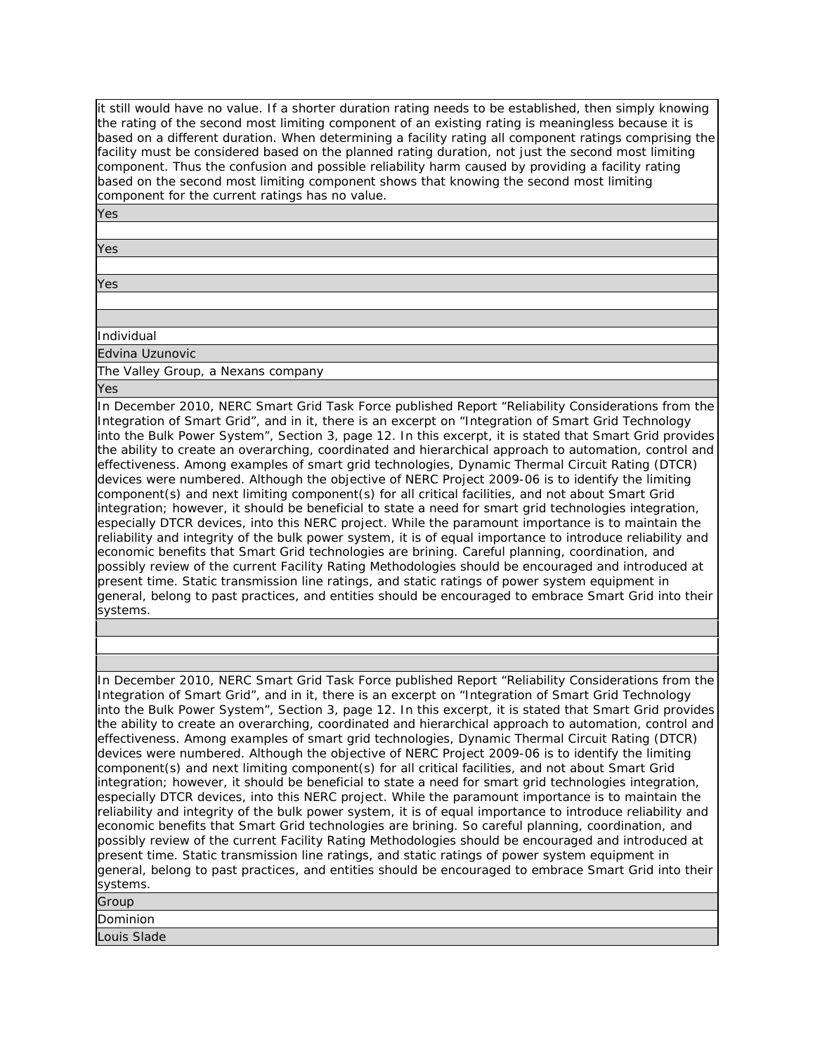it still would have no value. If a shorter duration rating needs to be established, then simply knowing the rating of the second most limiting component of an existing rating is meaningless because it is based on a different duration. When determining a facility rating all component ratings comprising the facility must be considered based on the planned rating duration, not just the second most limiting component. Thus the confusion and possible reliability harm caused by providing a facility rating based on the second most limiting component shows that knowing the second most limiting component for the current ratings has no value.

Yes

Yes

Yes

Individual

Edvina Uzunovic

The Valley Group, a Nexans company

Yes

In December 2010, NERC Smart Grid Task Force published Report "Reliability Considerations from the Integration of Smart Grid", and in it, there is an excerpt on "Integration of Smart Grid Technology into the Bulk Power System", Section 3, page 12. In this excerpt, it is stated that Smart Grid provides the ability to create an overarching, coordinated and hierarchical approach to automation, control and effectiveness. Among examples of smart grid technologies, Dynamic Thermal Circuit Rating (DTCR) devices were numbered. Although the objective of NERC Project 2009-06 is to identify the limiting component(s) and next limiting component(s) for all critical facilities, and not about Smart Grid integration; however, it should be beneficial to state a need for smart grid technologies integration, especially DTCR devices, into this NERC project. While the paramount importance is to maintain the reliability and integrity of the bulk power system, it is of equal importance to introduce reliability and economic benefits that Smart Grid technologies are brining. Careful planning, coordination, and possibly review of the current Facility Rating Methodologies should be encouraged and introduced at present time. Static transmission line ratings, and static ratings of power system equipment in general, belong to past practices, and entities should be encouraged to embrace Smart Grid into their systems.

### In December 2010, NERC Smart Grid Task Force published Report "Reliability Considerations from the Integration of Smart Grid", and in it, there is an excerpt on "Integration of Smart Grid Technology into the Bulk Power System", Section 3, page 12. In this excerpt, it is stated that Smart Grid provides the ability to create an overarching, coordinated and hierarchical approach to automation, control and effectiveness. Among examples of smart grid technologies, Dynamic Thermal Circuit Rating (DTCR) devices were numbered. Although the objective of NERC Project 2009-06 is to identify the limiting component(s) and next limiting component(s) for all critical facilities, and not about Smart Grid integration; however, it should be beneficial to state a need for smart grid technologies integration, especially DTCR devices, into this NERC project. While the paramount importance is to maintain the reliability and integrity of the bulk power system, it is of equal importance to introduce reliability and economic benefits that Smart Grid technologies are brining. So careful planning, coordination, and possibly review of the current Facility Rating Methodologies should be encouraged and introduced at present time. Static transmission line ratings, and static ratings of power system equipment in general, belong to past practices, and entities should be encouraged to embrace Smart Grid into their systems.

| Group       |  |
|-------------|--|
| Dominion    |  |
| Louis Slade |  |
|             |  |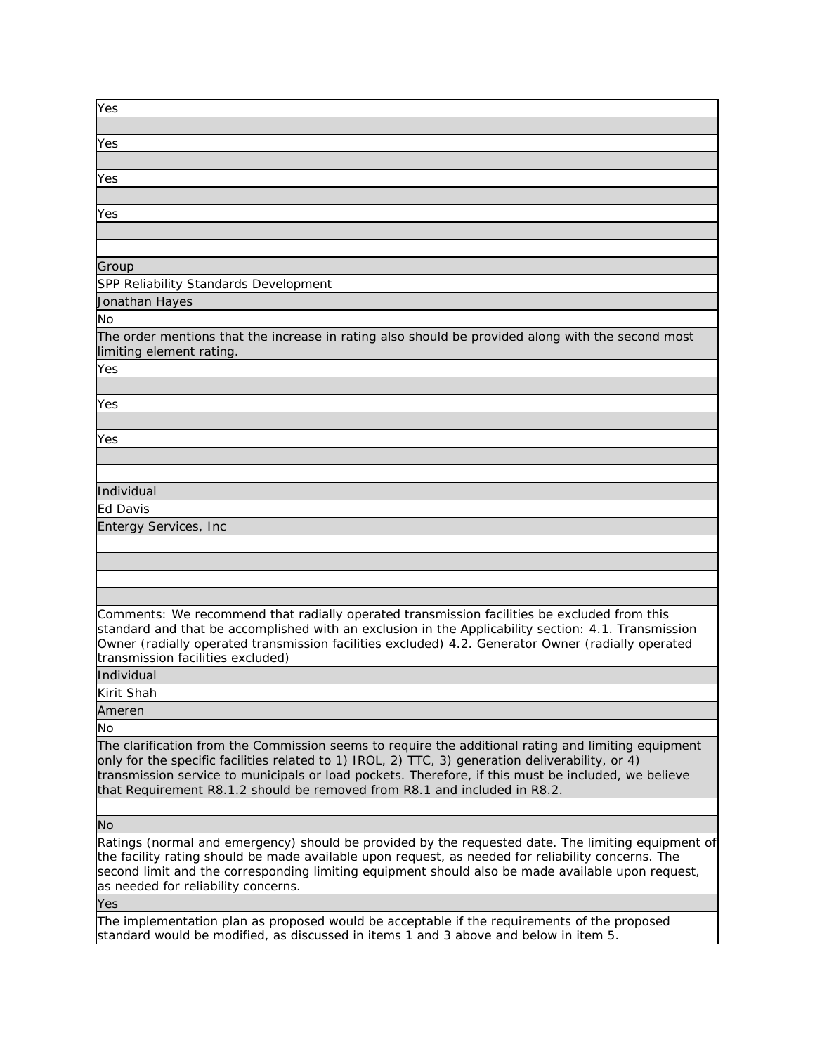| Yes                                                                                                                                                                                                                                                                                                                                                                                         |
|---------------------------------------------------------------------------------------------------------------------------------------------------------------------------------------------------------------------------------------------------------------------------------------------------------------------------------------------------------------------------------------------|
|                                                                                                                                                                                                                                                                                                                                                                                             |
| Yes                                                                                                                                                                                                                                                                                                                                                                                         |
|                                                                                                                                                                                                                                                                                                                                                                                             |
| Yes                                                                                                                                                                                                                                                                                                                                                                                         |
|                                                                                                                                                                                                                                                                                                                                                                                             |
| Yes                                                                                                                                                                                                                                                                                                                                                                                         |
|                                                                                                                                                                                                                                                                                                                                                                                             |
|                                                                                                                                                                                                                                                                                                                                                                                             |
| Group                                                                                                                                                                                                                                                                                                                                                                                       |
| SPP Reliability Standards Development                                                                                                                                                                                                                                                                                                                                                       |
| Jonathan Hayes                                                                                                                                                                                                                                                                                                                                                                              |
| No                                                                                                                                                                                                                                                                                                                                                                                          |
|                                                                                                                                                                                                                                                                                                                                                                                             |
| The order mentions that the increase in rating also should be provided along with the second most<br>limiting element rating.                                                                                                                                                                                                                                                               |
| Yes                                                                                                                                                                                                                                                                                                                                                                                         |
|                                                                                                                                                                                                                                                                                                                                                                                             |
| Yes                                                                                                                                                                                                                                                                                                                                                                                         |
|                                                                                                                                                                                                                                                                                                                                                                                             |
| Yes                                                                                                                                                                                                                                                                                                                                                                                         |
|                                                                                                                                                                                                                                                                                                                                                                                             |
|                                                                                                                                                                                                                                                                                                                                                                                             |
| Individual                                                                                                                                                                                                                                                                                                                                                                                  |
| Ed Davis                                                                                                                                                                                                                                                                                                                                                                                    |
| <b>Entergy Services, Inc</b>                                                                                                                                                                                                                                                                                                                                                                |
|                                                                                                                                                                                                                                                                                                                                                                                             |
|                                                                                                                                                                                                                                                                                                                                                                                             |
|                                                                                                                                                                                                                                                                                                                                                                                             |
|                                                                                                                                                                                                                                                                                                                                                                                             |
| Comments: We recommend that radially operated transmission facilities be excluded from this<br>standard and that be accomplished with an exclusion in the Applicability section: 4.1. Transmission<br>Owner (radially operated transmission facilities excluded) 4.2. Generator Owner (radially operated<br>transmission facilities excluded)                                               |
| Individual                                                                                                                                                                                                                                                                                                                                                                                  |
| Kirit Shah                                                                                                                                                                                                                                                                                                                                                                                  |
| Ameren                                                                                                                                                                                                                                                                                                                                                                                      |
| No                                                                                                                                                                                                                                                                                                                                                                                          |
| The clarification from the Commission seems to require the additional rating and limiting equipment<br>only for the specific facilities related to 1) IROL, 2) TTC, 3) generation deliverability, or 4)<br>transmission service to municipals or load pockets. Therefore, if this must be included, we believe<br>that Requirement R8.1.2 should be removed from R8.1 and included in R8.2. |
| No                                                                                                                                                                                                                                                                                                                                                                                          |
| Ratings (normal and emergency) should be provided by the requested date. The limiting equipment of<br>the facility rating should be made available upon request, as needed for reliability concerns. The<br>second limit and the corresponding limiting equipment should also be made available upon request,<br>as needed for reliability concerns.                                        |
| Yes                                                                                                                                                                                                                                                                                                                                                                                         |
| The implementation plan as proposed would be acceptable if the requirements of the proposed<br>standard would be modified, as discussed in items 1 and 3 above and below in item 5.                                                                                                                                                                                                         |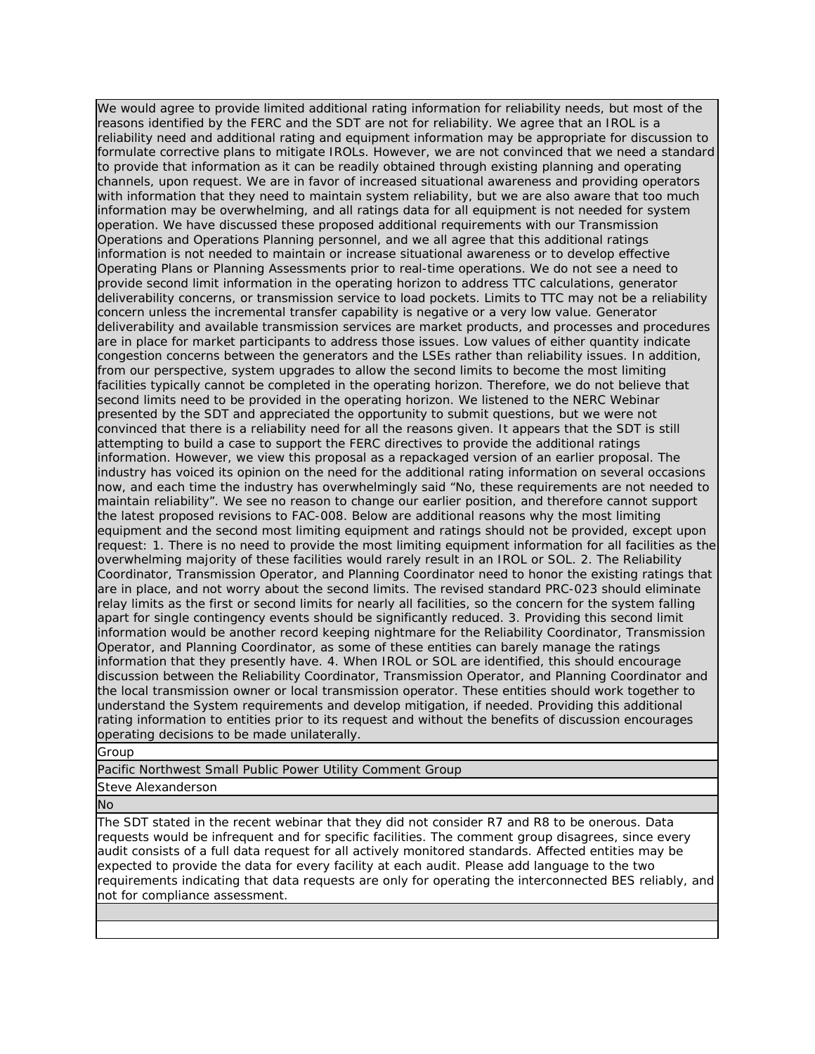We would agree to provide limited additional rating information for reliability needs, but most of the reasons identified by the FERC and the SDT are not for reliability. We agree that an IROL is a reliability need and additional rating and equipment information may be appropriate for discussion to formulate corrective plans to mitigate IROLs. However, we are not convinced that we need a standard to provide that information as it can be readily obtained through existing planning and operating channels, upon request. We are in favor of increased situational awareness and providing operators with information that they need to maintain system reliability, but we are also aware that too much information may be overwhelming, and all ratings data for all equipment is not needed for system operation. We have discussed these proposed additional requirements with our Transmission Operations and Operations Planning personnel, and we all agree that this additional ratings information is not needed to maintain or increase situational awareness or to develop effective Operating Plans or Planning Assessments prior to real-time operations. We do not see a need to provide second limit information in the operating horizon to address TTC calculations, generator deliverability concerns, or transmission service to load pockets. Limits to TTC may not be a reliability concern unless the incremental transfer capability is negative or a very low value. Generator deliverability and available transmission services are market products, and processes and procedures are in place for market participants to address those issues. Low values of either quantity indicate congestion concerns between the generators and the LSEs rather than reliability issues. In addition, from our perspective, system upgrades to allow the second limits to become the most limiting facilities typically cannot be completed in the operating horizon. Therefore, we do not believe that second limits need to be provided in the operating horizon. We listened to the NERC Webinar presented by the SDT and appreciated the opportunity to submit questions, but we were not convinced that there is a reliability need for all the reasons given. It appears that the SDT is still attempting to build a case to support the FERC directives to provide the additional ratings information. However, we view this proposal as a repackaged version of an earlier proposal. The industry has voiced its opinion on the need for the additional rating information on several occasions now, and each time the industry has overwhelmingly said "No, these requirements are not needed to maintain reliability". We see no reason to change our earlier position, and therefore cannot support the latest proposed revisions to FAC-008. Below are additional reasons why the most limiting equipment and the second most limiting equipment and ratings should not be provided, except upon request: 1. There is no need to provide the most limiting equipment information for all facilities as the overwhelming majority of these facilities would rarely result in an IROL or SOL. 2. The Reliability Coordinator, Transmission Operator, and Planning Coordinator need to honor the existing ratings that are in place, and not worry about the second limits. The revised standard PRC-023 should eliminate relay limits as the first or second limits for nearly all facilities, so the concern for the system falling apart for single contingency events should be significantly reduced. 3. Providing this second limit information would be another record keeping nightmare for the Reliability Coordinator, Transmission Operator, and Planning Coordinator, as some of these entities can barely manage the ratings information that they presently have. 4. When IROL or SOL are identified, this should encourage discussion between the Reliability Coordinator, Transmission Operator, and Planning Coordinator and the local transmission owner or local transmission operator. These entities should work together to understand the System requirements and develop mitigation, if needed. Providing this additional rating information to entities prior to its request and without the benefits of discussion encourages operating decisions to be made unilaterally.

Group

Pacific Northwest Small Public Power Utility Comment Group

Steve Alexanderson

No

The SDT stated in the recent webinar that they did not consider R7 and R8 to be onerous. Data requests would be infrequent and for specific facilities. The comment group disagrees, since every audit consists of a full data request for all actively monitored standards. Affected entities may be expected to provide the data for every facility at each audit. Please add language to the two requirements indicating that data requests are only for operating the interconnected BES reliably, and not for compliance assessment.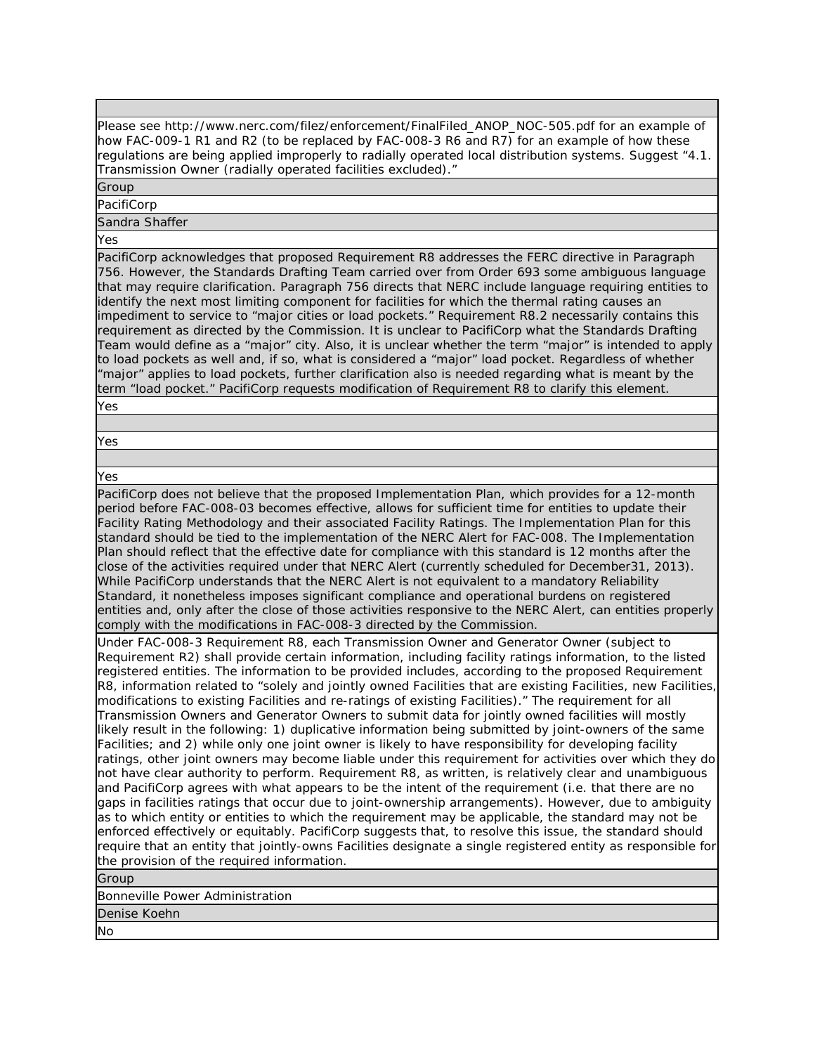Please see http://www.nerc.com/filez/enforcement/FinalFiled\_ANOP\_NOC-505.pdf for an example of how FAC-009-1 R1 and R2 (to be replaced by FAC-008-3 R6 and R7) for an example of how these regulations are being applied improperly to radially operated local distribution systems. Suggest "4.1. Transmission Owner (radially operated facilities excluded)."

Group

PacifiCorp

Sandra Shaffer

Yes

PacifiCorp acknowledges that proposed Requirement R8 addresses the FERC directive in Paragraph 756. However, the Standards Drafting Team carried over from Order 693 some ambiguous language that may require clarification. Paragraph 756 directs that NERC include language requiring entities to identify the next most limiting component for facilities for which the thermal rating causes an impediment to service to "major cities or load pockets." Requirement R8.2 necessarily contains this requirement as directed by the Commission. It is unclear to PacifiCorp what the Standards Drafting Team would define as a "major" city. Also, it is unclear whether the term "major" is intended to apply to load pockets as well and, if so, what is considered a "major" load pocket. Regardless of whether "major" applies to load pockets, further clarification also is needed regarding what is meant by the term "load pocket." PacifiCorp requests modification of Requirement R8 to clarify this element.

Yes

Yes

Yes

PacifiCorp does not believe that the proposed Implementation Plan, which provides for a 12-month period before FAC-008-03 becomes effective, allows for sufficient time for entities to update their Facility Rating Methodology and their associated Facility Ratings. The Implementation Plan for this standard should be tied to the implementation of the NERC Alert for FAC-008. The Implementation Plan should reflect that the effective date for compliance with this standard is 12 months after the close of the activities required under that NERC Alert (currently scheduled for December31, 2013). While PacifiCorp understands that the NERC Alert is not equivalent to a mandatory Reliability Standard, it nonetheless imposes significant compliance and operational burdens on registered entities and, only after the close of those activities responsive to the NERC Alert, can entities properly comply with the modifications in FAC-008-3 directed by the Commission.

Under FAC-008-3 Requirement R8, each Transmission Owner and Generator Owner (subject to Requirement R2) shall provide certain information, including facility ratings information, to the listed registered entities. The information to be provided includes, according to the proposed Requirement R8, information related to "solely and jointly owned Facilities that are existing Facilities, new Facilities, modifications to existing Facilities and re-ratings of existing Facilities)." The requirement for all Transmission Owners and Generator Owners to submit data for jointly owned facilities will mostly likely result in the following: 1) duplicative information being submitted by joint-owners of the same Facilities; and 2) while only one joint owner is likely to have responsibility for developing facility ratings, other joint owners may become liable under this requirement for activities over which they do not have clear authority to perform. Requirement R8, as written, is relatively clear and unambiguous and PacifiCorp agrees with what appears to be the intent of the requirement (i.e. that there are no gaps in facilities ratings that occur due to joint-ownership arrangements). However, due to ambiguity as to which entity or entities to which the requirement may be applicable, the standard may not be enforced effectively or equitably. PacifiCorp suggests that, to resolve this issue, the standard should require that an entity that jointly-owns Facilities designate a single registered entity as responsible for the provision of the required information.

Group

Bonneville Power Administration

Denise Koehn

No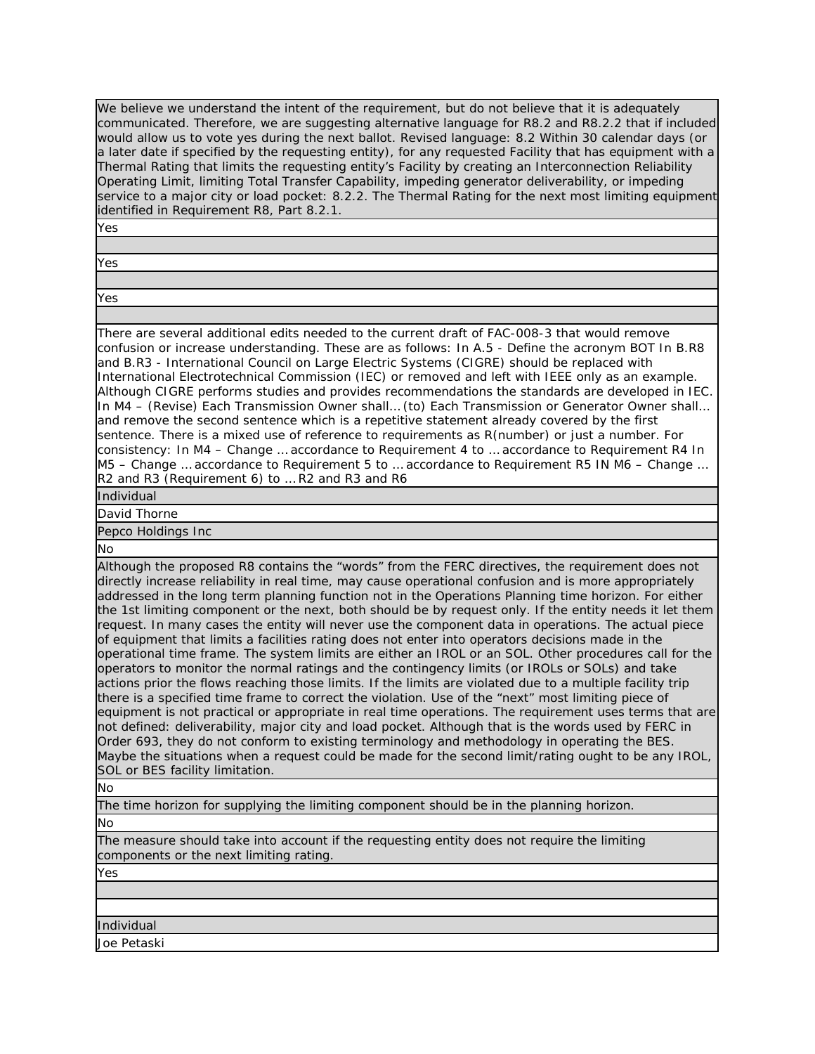We believe we understand the intent of the requirement, but do not believe that it is adequately communicated. Therefore, we are suggesting alternative language for R8.2 and R8.2.2 that if included would allow us to vote yes during the next ballot. Revised language: 8.2 Within 30 calendar days (or a later date if specified by the requesting entity), for any requested Facility that has equipment with a Thermal Rating that limits the requesting entity's Facility by creating an Interconnection Reliability Operating Limit, limiting Total Transfer Capability, impeding generator deliverability, or impeding service to a major city or load pocket: 8.2.2. The Thermal Rating for the next most limiting equipment identified in Requirement R8, Part 8.2.1.

Yes

Yes

Yes

There are several additional edits needed to the current draft of FAC-008-3 that would remove confusion or increase understanding. These are as follows: In A.5 - Define the acronym BOT In B.R8 and B.R3 - International Council on Large Electric Systems (CIGRE) should be replaced with International Electrotechnical Commission (IEC) or removed and left with IEEE only as an example. Although CIGRE performs studies and provides recommendations the standards are developed in IEC. In M4 – (Revise) Each Transmission Owner shall… (to) Each Transmission or Generator Owner shall… and remove the second sentence which is a repetitive statement already covered by the first sentence. There is a mixed use of reference to requirements as R(number) or just a number. For consistency: In M4 – Change … accordance to Requirement 4 to … accordance to Requirement R4 In M5 – Change ... accordance to Requirement 5 to ... accordance to Requirement R5 IN M6 – Change ... R2 and R3 (Requirement 6) to … R2 and R3 and R6

Individual

David Thorne

Pepco Holdings Inc

No

Although the proposed R8 contains the "words" from the FERC directives, the requirement does not directly increase reliability in real time, may cause operational confusion and is more appropriately addressed in the long term planning function not in the Operations Planning time horizon. For either the 1st limiting component or the next, both should be by request only. If the entity needs it let them request. In many cases the entity will never use the component data in operations. The actual piece of equipment that limits a facilities rating does not enter into operators decisions made in the operational time frame. The system limits are either an IROL or an SOL. Other procedures call for the operators to monitor the normal ratings and the contingency limits (or IROLs or SOLs) and take actions prior the flows reaching those limits. If the limits are violated due to a multiple facility trip there is a specified time frame to correct the violation. Use of the "next" most limiting piece of equipment is not practical or appropriate in real time operations. The requirement uses terms that are not defined: deliverability, major city and load pocket. Although that is the words used by FERC in Order 693, they do not conform to existing terminology and methodology in operating the BES. Maybe the situations when a request could be made for the second limit/rating ought to be any IROL, SOL or BES facility limitation.

No

The time horizon for supplying the limiting component should be in the planning horizon.

No

The measure should take into account if the requesting entity does not require the limiting components or the next limiting rating.

Yes

Individual

Joe Petaski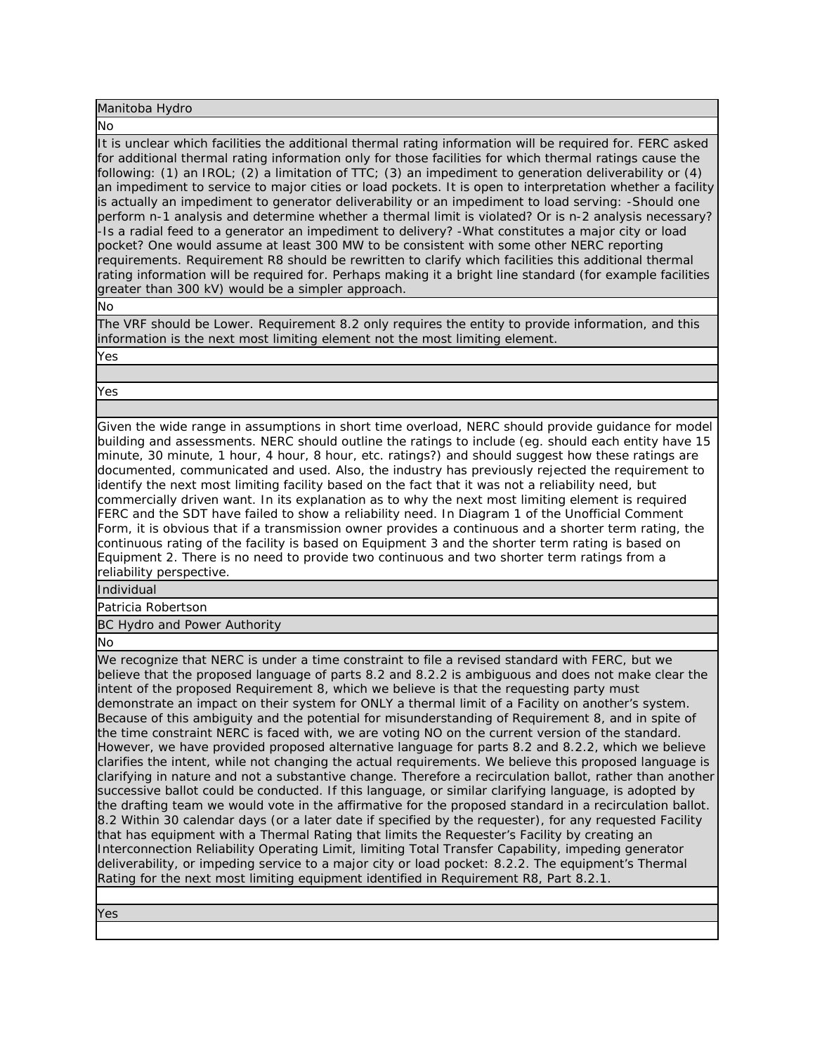#### Manitoba Hydro

#### No

It is unclear which facilities the additional thermal rating information will be required for. FERC asked for additional thermal rating information only for those facilities for which thermal ratings cause the following: (1) an IROL; (2) a limitation of TTC; (3) an impediment to generation deliverability or (4) an impediment to service to major cities or load pockets. It is open to interpretation whether a facility is actually an impediment to generator deliverability or an impediment to load serving: -Should one perform n-1 analysis and determine whether a thermal limit is violated? Or is n-2 analysis necessary? -Is a radial feed to a generator an impediment to delivery? -What constitutes a major city or load pocket? One would assume at least 300 MW to be consistent with some other NERC reporting requirements. Requirement R8 should be rewritten to clarify which facilities this additional thermal rating information will be required for. Perhaps making it a bright line standard (for example facilities greater than 300 kV) would be a simpler approach.

No

The VRF should be Lower. Requirement 8.2 only requires the entity to provide information, and this information is the next most limiting element not the most limiting element.

Yes

Yes

Given the wide range in assumptions in short time overload, NERC should provide guidance for model building and assessments. NERC should outline the ratings to include (eg. should each entity have 15 minute, 30 minute, 1 hour, 4 hour, 8 hour, etc. ratings?) and should suggest how these ratings are documented, communicated and used. Also, the industry has previously rejected the requirement to identify the next most limiting facility based on the fact that it was not a reliability need, but commercially driven want. In its explanation as to why the next most limiting element is required FERC and the SDT have failed to show a reliability need. In Diagram 1 of the Unofficial Comment Form, it is obvious that if a transmission owner provides a continuous and a shorter term rating, the continuous rating of the facility is based on Equipment 3 and the shorter term rating is based on Equipment 2. There is no need to provide two continuous and two shorter term ratings from a reliability perspective.

Individual

Patricia Robertson

BC Hydro and Power Authority

No

We recognize that NERC is under a time constraint to file a revised standard with FERC, but we believe that the proposed language of parts 8.2 and 8.2.2 is ambiguous and does not make clear the intent of the proposed Requirement 8, which we believe is that the requesting party must demonstrate an impact on their system for ONLY a thermal limit of a Facility on another's system. Because of this ambiguity and the potential for misunderstanding of Requirement 8, and in spite of the time constraint NERC is faced with, we are voting NO on the current version of the standard. However, we have provided proposed alternative language for parts 8.2 and 8.2.2, which we believe clarifies the intent, while not changing the actual requirements. We believe this proposed language is clarifying in nature and not a substantive change. Therefore a recirculation ballot, rather than another successive ballot could be conducted. If this language, or similar clarifying language, is adopted by the drafting team we would vote in the affirmative for the proposed standard in a recirculation ballot. 8.2 Within 30 calendar days (or a later date if specified by the requester), for any requested Facility that has equipment with a Thermal Rating that limits the Requester's Facility by creating an Interconnection Reliability Operating Limit, limiting Total Transfer Capability, impeding generator deliverability, or impeding service to a major city or load pocket: 8.2.2. The equipment's Thermal Rating for the next most limiting equipment identified in Requirement R8, Part 8.2.1.

Yes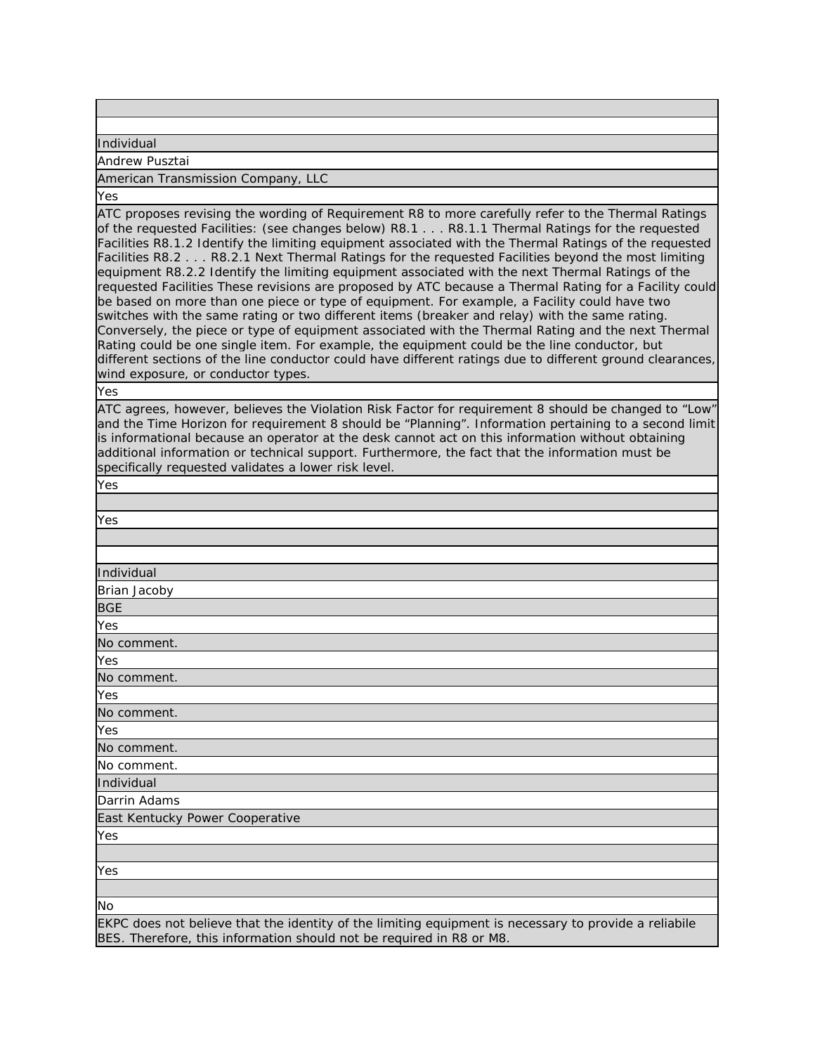Individual

Andrew Pusztai

### American Transmission Company, LLC

Yes

ATC proposes revising the wording of Requirement R8 to more carefully refer to the Thermal Ratings of the requested Facilities: (see changes below) R8.1 . . . R8.1.1 Thermal Ratings for the requested Facilities R8.1.2 Identify the limiting equipment associated with the Thermal Ratings of the requested Facilities R8.2 . . . R8.2.1 Next Thermal Ratings for the requested Facilities beyond the most limiting equipment R8.2.2 Identify the limiting equipment associated with the next Thermal Ratings of the requested Facilities These revisions are proposed by ATC because a Thermal Rating for a Facility could be based on more than one piece or type of equipment. For example, a Facility could have two switches with the same rating or two different items (breaker and relay) with the same rating. Conversely, the piece or type of equipment associated with the Thermal Rating and the next Thermal Rating could be one single item. For example, the equipment could be the line conductor, but different sections of the line conductor could have different ratings due to different ground clearances, wind exposure, or conductor types.

Yes

ATC agrees, however, believes the Violation Risk Factor for requirement 8 should be changed to "Low" and the Time Horizon for requirement 8 should be "Planning". Information pertaining to a second limit is informational because an operator at the desk cannot act on this information without obtaining additional information or technical support. Furthermore, the fact that the information must be specifically requested validates a lower risk level.

Yes

| Yes                                                                                                 |
|-----------------------------------------------------------------------------------------------------|
|                                                                                                     |
|                                                                                                     |
| Individual                                                                                          |
| Brian Jacoby                                                                                        |
| <b>BGE</b>                                                                                          |
| Yes                                                                                                 |
| No comment.                                                                                         |
| Yes                                                                                                 |
| No comment.                                                                                         |
| Yes                                                                                                 |
| No comment.                                                                                         |
| Yes                                                                                                 |
| No comment.                                                                                         |
| No comment.                                                                                         |
| Individual                                                                                          |
| Darrin Adams                                                                                        |
| East Kentucky Power Cooperative                                                                     |
| Yes                                                                                                 |
|                                                                                                     |
| Yes                                                                                                 |
|                                                                                                     |
| <b>No</b>                                                                                           |
| EVPC does not believe that the identity of the limiting equipment is percessive provide a reliabile |

that the identity of the limiting equipment is necessary to provide a reliabile BES. Therefore, this information should not be required in R8 or M8.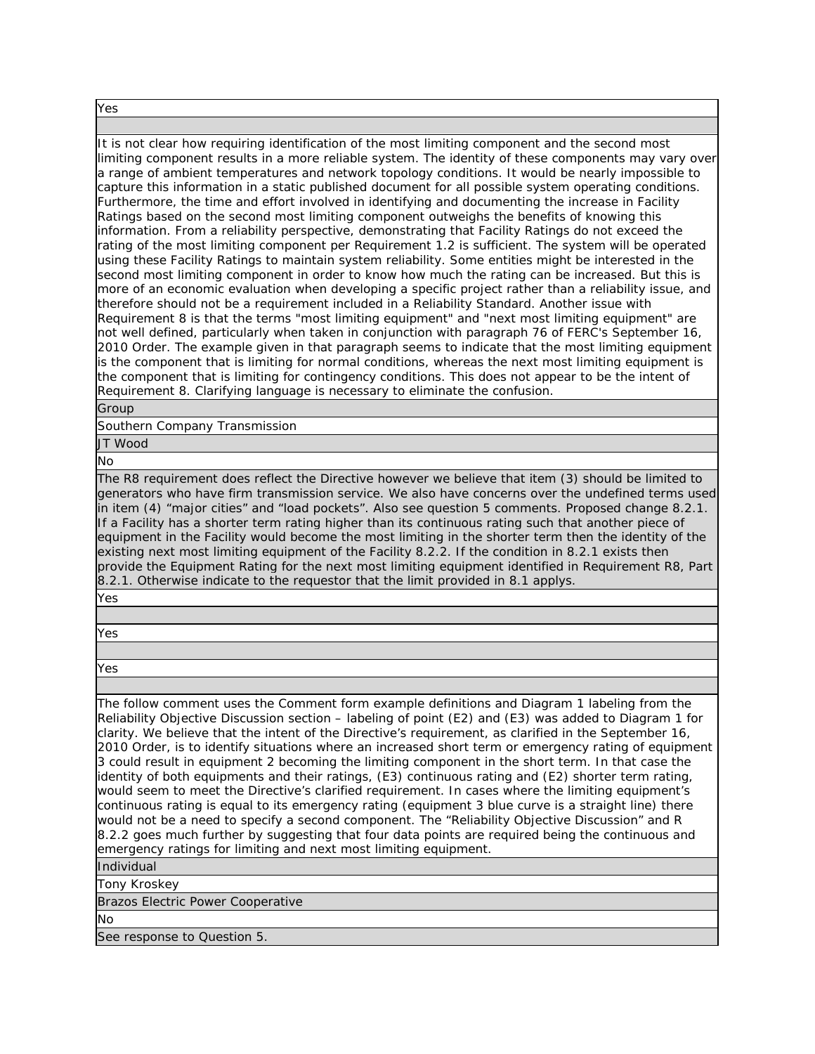Yes

It is not clear how requiring identification of the most limiting component and the second most limiting component results in a more reliable system. The identity of these components may vary over a range of ambient temperatures and network topology conditions. It would be nearly impossible to capture this information in a static published document for all possible system operating conditions. Furthermore, the time and effort involved in identifying and documenting the increase in Facility Ratings based on the second most limiting component outweighs the benefits of knowing this information. From a reliability perspective, demonstrating that Facility Ratings do not exceed the rating of the most limiting component per Requirement 1.2 is sufficient. The system will be operated using these Facility Ratings to maintain system reliability. Some entities might be interested in the second most limiting component in order to know how much the rating can be increased. But this is more of an economic evaluation when developing a specific project rather than a reliability issue, and therefore should not be a requirement included in a Reliability Standard. Another issue with Requirement 8 is that the terms "most limiting equipment" and "next most limiting equipment" are not well defined, particularly when taken in conjunction with paragraph 76 of FERC's September 16, 2010 Order. The example given in that paragraph seems to indicate that the most limiting equipment is the component that is limiting for normal conditions, whereas the next most limiting equipment is the component that is limiting for contingency conditions. This does not appear to be the intent of Requirement 8. Clarifying language is necessary to eliminate the confusion.

# Group

Southern Company Transmission

JT Wood

No

The R8 requirement does reflect the Directive however we believe that item (3) should be limited to generators who have firm transmission service. We also have concerns over the undefined terms used in item (4) "major cities" and "load pockets". Also see question 5 comments. Proposed change 8.2.1. If a Facility has a shorter term rating higher than its continuous rating such that another piece of equipment in the Facility would become the most limiting in the shorter term then the identity of the existing next most limiting equipment of the Facility 8.2.2. If the condition in 8.2.1 exists then provide the Equipment Rating for the next most limiting equipment identified in Requirement R8, Part 8.2.1. Otherwise indicate to the requestor that the limit provided in 8.1 applys.

Yes

Yes

Yes

The follow comment uses the Comment form example definitions and Diagram 1 labeling from the Reliability Objective Discussion section – labeling of point (E2) and (E3) was added to Diagram 1 for clarity. We believe that the intent of the Directive's requirement, as clarified in the September 16, 2010 Order, is to identify situations where an increased short term or emergency rating of equipment 3 could result in equipment 2 becoming the limiting component in the short term. In that case the identity of both equipments and their ratings, (E3) continuous rating and (E2) shorter term rating, would seem to meet the Directive's clarified requirement. In cases where the limiting equipment's continuous rating is equal to its emergency rating (equipment 3 blue curve is a straight line) there would not be a need to specify a second component. The "Reliability Objective Discussion" and R 8.2.2 goes much further by suggesting that four data points are required being the continuous and emergency ratings for limiting and next most limiting equipment.

Individual

Tony Kroskey

Brazos Electric Power Cooperative

No

See response to Question 5.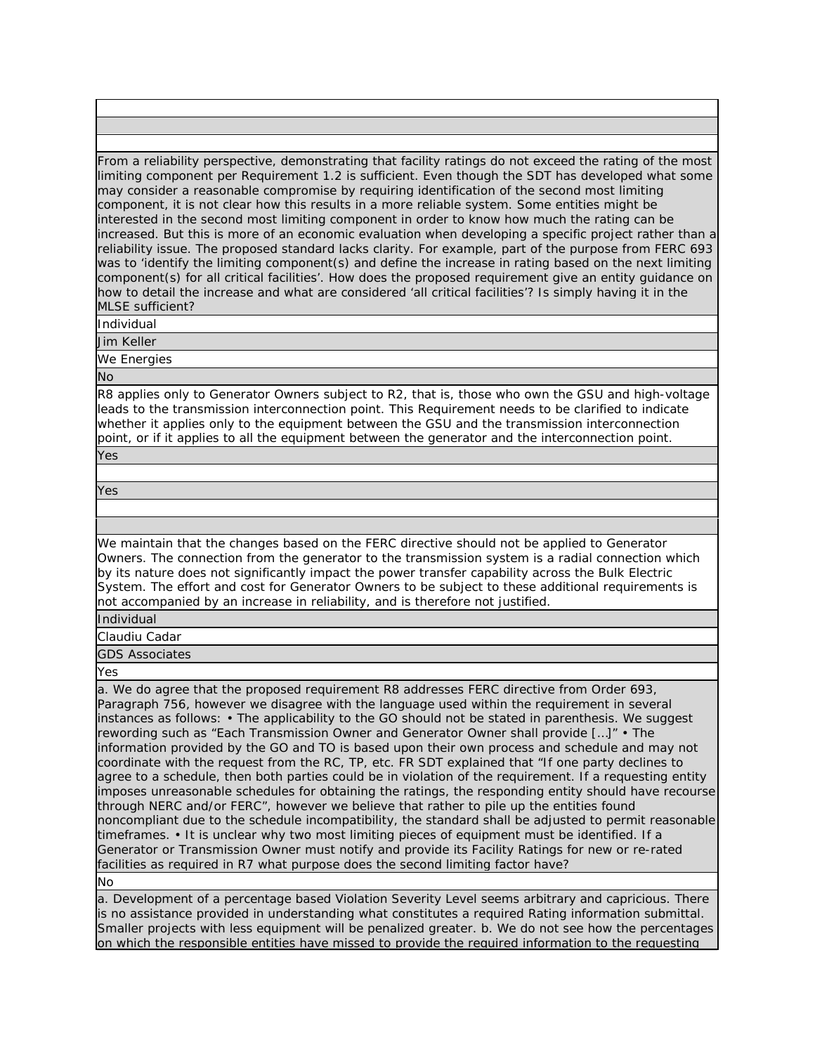From a reliability perspective, demonstrating that facility ratings do not exceed the rating of the most limiting component per Requirement 1.2 is sufficient. Even though the SDT has developed what some may consider a reasonable compromise by requiring identification of the second most limiting component, it is not clear how this results in a more reliable system. Some entities might be interested in the second most limiting component in order to know how much the rating can be increased. But this is more of an economic evaluation when developing a specific project rather than a reliability issue. The proposed standard lacks clarity. For example, part of the purpose from FERC 693 was to 'identify the limiting component(s) and define the increase in rating based on the next limiting component(s) for all critical facilities'. How does the proposed requirement give an entity guidance on how to detail the increase and what are considered 'all critical facilities'? Is simply having it in the MLSE sufficient?

Individual

Jim Keller

We Energies

No

R8 applies only to Generator Owners subject to R2, that is, those who own the GSU and high-voltage leads to the transmission interconnection point. This Requirement needs to be clarified to indicate whether it applies only to the equipment between the GSU and the transmission interconnection point, or if it applies to all the equipment between the generator and the interconnection point. Yes

Yes

We maintain that the changes based on the FERC directive should not be applied to Generator Owners. The connection from the generator to the transmission system is a radial connection which by its nature does not significantly impact the power transfer capability across the Bulk Electric System. The effort and cost for Generator Owners to be subject to these additional requirements is not accompanied by an increase in reliability, and is therefore not justified.

Individual

Claudiu Cadar

GDS Associates

Yes

a. We do agree that the proposed requirement R8 addresses FERC directive from Order 693, Paragraph 756, however we disagree with the language used within the requirement in several instances as follows: • The applicability to the GO should not be stated in parenthesis. We suggest rewording such as "Each Transmission Owner and Generator Owner shall provide […]" • The information provided by the GO and TO is based upon their own process and schedule and may not coordinate with the request from the RC, TP, etc. FR SDT explained that "If one party declines to agree to a schedule, then both parties could be in violation of the requirement. If a requesting entity imposes unreasonable schedules for obtaining the ratings, the responding entity should have recourse through NERC and/or FERC", however we believe that rather to pile up the entities found noncompliant due to the schedule incompatibility, the standard shall be adjusted to permit reasonable timeframes. • It is unclear why two most limiting pieces of equipment must be identified. If a Generator or Transmission Owner must notify and provide its Facility Ratings for new or re-rated facilities as required in R7 what purpose does the second limiting factor have?

No

a. Development of a percentage based Violation Severity Level seems arbitrary and capricious. There is no assistance provided in understanding what constitutes a required Rating information submittal. Smaller projects with less equipment will be penalized greater. b. We do not see how the percentages on which the responsible entities have missed to provide the required information to the requesting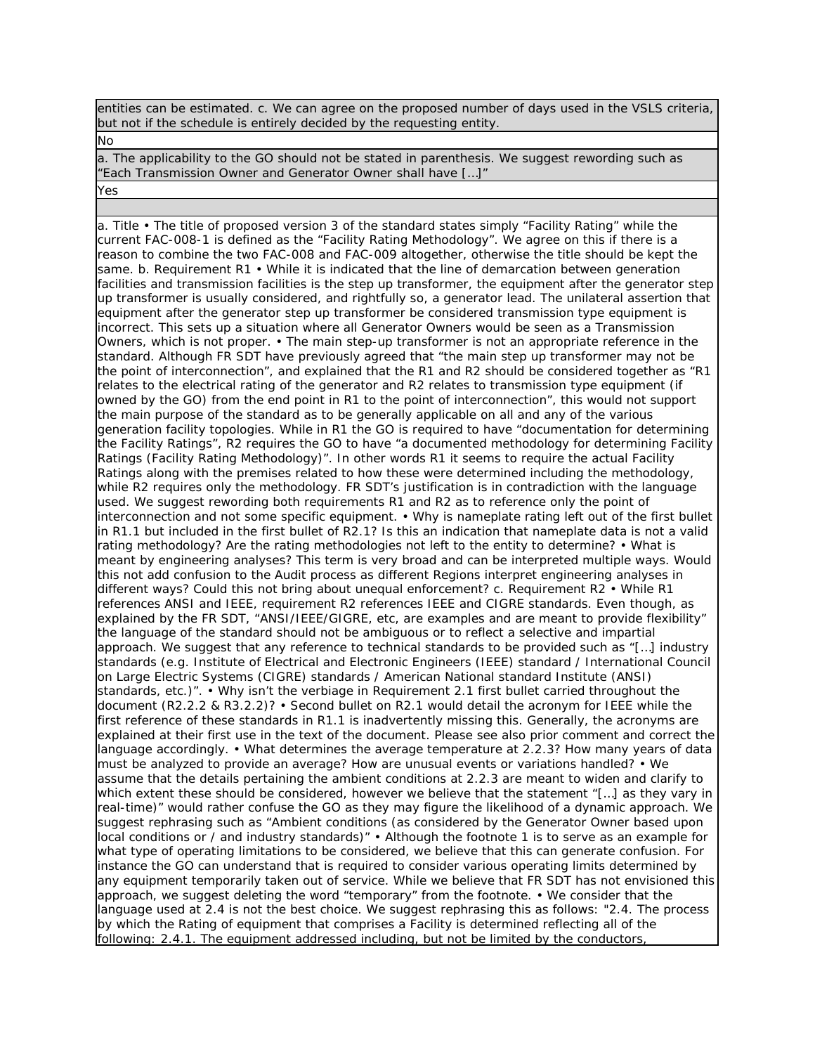entities can be estimated. c. We can agree on the proposed number of days used in the VSLS criteria, but not if the schedule is entirely decided by the requesting entity.

No

a. The applicability to the GO should not be stated in parenthesis. We suggest rewording such as "Each Transmission Owner and Generator Owner shall have […]"

Yes

a. Title • The title of proposed version 3 of the standard states simply "Facility Rating" while the current FAC-008-1 is defined as the "Facility Rating Methodology". We agree on this if there is a reason to combine the two FAC-008 and FAC-009 altogether, otherwise the title should be kept the same. b. Requirement R1 • While it is indicated that the line of demarcation between generation facilities and transmission facilities is the step up transformer, the equipment after the generator step up transformer is usually considered, and rightfully so, a generator lead. The unilateral assertion that equipment after the generator step up transformer be considered transmission type equipment is incorrect. This sets up a situation where all Generator Owners would be seen as a Transmission Owners, which is not proper. • The main step-up transformer is not an appropriate reference in the standard. Although FR SDT have previously agreed that "the main step up transformer may not be the point of interconnection", and explained that the R1 and R2 should be considered together as "R1 relates to the electrical rating of the generator and R2 relates to transmission type equipment (if owned by the GO) from the end point in R1 to the point of interconnection", this would not support the main purpose of the standard as to be generally applicable on all and any of the various generation facility topologies. While in R1 the GO is required to have "documentation for determining the Facility Ratings", R2 requires the GO to have "a documented methodology for determining Facility Ratings (Facility Rating Methodology)". In other words R1 it seems to require the actual Facility Ratings along with the premises related to how these were determined including the methodology, while R2 requires only the methodology. FR SDT's justification is in contradiction with the language used. We suggest rewording both requirements R1 and R2 as to reference only the point of interconnection and not some specific equipment. • Why is nameplate rating left out of the first bullet in R1.1 but included in the first bullet of R2.1? Is this an indication that nameplate data is not a valid rating methodology? Are the rating methodologies not left to the entity to determine? • What is meant by engineering analyses? This term is very broad and can be interpreted multiple ways. Would this not add confusion to the Audit process as different Regions interpret engineering analyses in different ways? Could this not bring about unequal enforcement? c. Requirement R2 • While R1 references ANSI and IEEE, requirement R2 references IEEE and CIGRE standards. Even though, as explained by the FR SDT, "ANSI/IEEE/GIGRE, etc, are examples and are meant to provide flexibility" the language of the standard should not be ambiguous or to reflect a selective and impartial approach. We suggest that any reference to technical standards to be provided such as "[…] industry standards (e.g. Institute of Electrical and Electronic Engineers (IEEE) standard / International Council on Large Electric Systems (CIGRE) standards / American National standard Institute (ANSI) standards, etc.)". • Why isn't the verbiage in Requirement 2.1 first bullet carried throughout the document (R2.2.2 & R3.2.2)? • Second bullet on R2.1 would detail the acronym for IEEE while the first reference of these standards in R1.1 is inadvertently missing this. Generally, the acronyms are explained at their first use in the text of the document. Please see also prior comment and correct the language accordingly. • What determines the average temperature at 2.2.3? How many years of data must be analyzed to provide an average? How are unusual events or variations handled? • We assume that the details pertaining the ambient conditions at 2.2.3 are meant to widen and clarify to which extent these should be considered, however we believe that the statement "[…] as they vary in real-time)" would rather confuse the GO as they may figure the likelihood of a dynamic approach. We suggest rephrasing such as "Ambient conditions (as considered by the Generator Owner based upon local conditions or / and industry standards)" • Although the footnote 1 is to serve as an example for what type of operating limitations to be considered, we believe that this can generate confusion. For instance the GO can understand that is required to consider various operating limits determined by any equipment temporarily taken out of service. While we believe that FR SDT has not envisioned this approach, we suggest deleting the word "temporary" from the footnote. • We consider that the language used at 2.4 is not the best choice. We suggest rephrasing this as follows: "2.4. The process by which the Rating of equipment that comprises a Facility is determined reflecting all of the following: 2.4.1. The equipment addressed including, but not be limited by the conductors,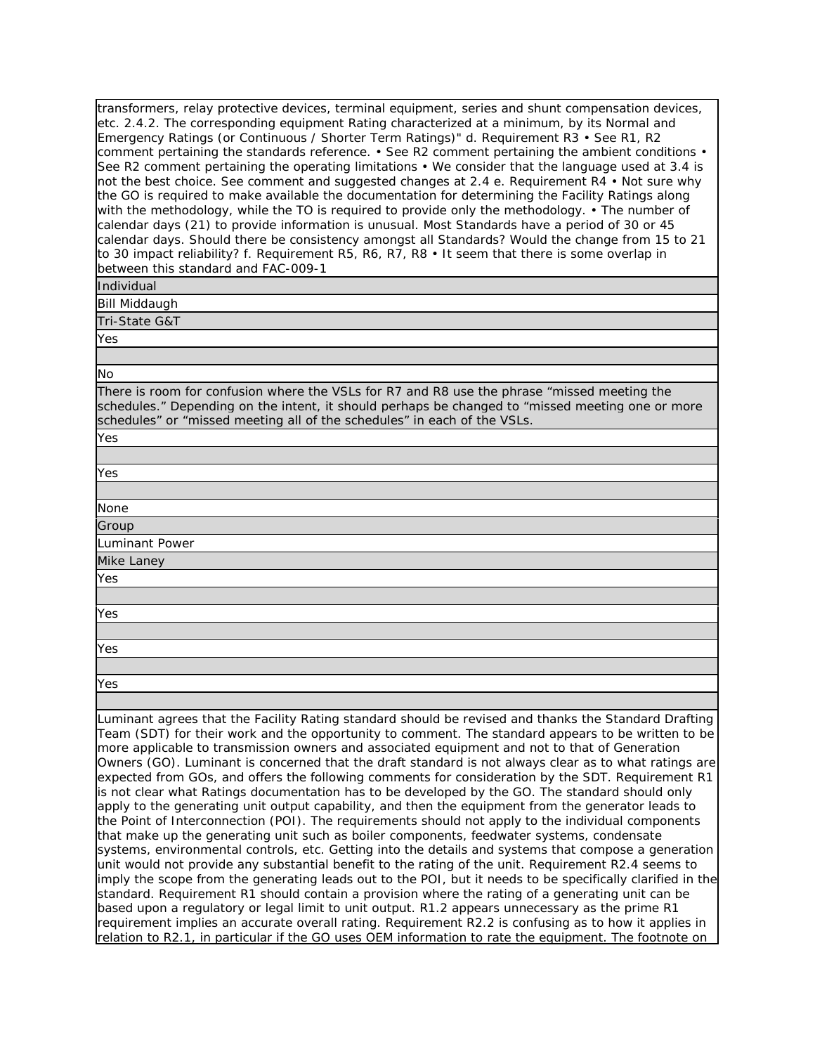transformers, relay protective devices, terminal equipment, series and shunt compensation devices, etc. 2.4.2. The corresponding equipment Rating characterized at a minimum, by its Normal and Emergency Ratings (or Continuous / Shorter Term Ratings)" d. Requirement R3 • See R1, R2 comment pertaining the standards reference. • See R2 comment pertaining the ambient conditions  $\cdot$ See R2 comment pertaining the operating limitations  $\cdot$  We consider that the language used at 3.4 is not the best choice. See comment and suggested changes at 2.4 e. Requirement R4 • Not sure why the GO is required to make available the documentation for determining the Facility Ratings along with the methodology, while the TO is required to provide only the methodology. • The number of calendar days (21) to provide information is unusual. Most Standards have a period of 30 or 45 calendar days. Should there be consistency amongst all Standards? Would the change from 15 to 21 to 30 impact reliability? f. Requirement R5, R6, R7, R8 • It seem that there is some overlap in between this standard and FAC-009-1

Individual

Bill Middaugh

Tri-State G&T

Yes

No

Yes

There is room for confusion where the VSLs for R7 and R8 use the phrase "missed meeting the schedules." Depending on the intent, it should perhaps be changed to "missed meeting one or more schedules" or "missed meeting all of the schedules" in each of the VSLs.

| Yes            |
|----------------|
|                |
| None           |
| Group          |
| Luminant Power |
| Mike Laney     |
|                |

Yes

Yes

Yes

Yes

Luminant agrees that the Facility Rating standard should be revised and thanks the Standard Drafting Team (SDT) for their work and the opportunity to comment. The standard appears to be written to be more applicable to transmission owners and associated equipment and not to that of Generation Owners (GO). Luminant is concerned that the draft standard is not always clear as to what ratings are expected from GOs, and offers the following comments for consideration by the SDT. Requirement R1 is not clear what Ratings documentation has to be developed by the GO. The standard should only apply to the generating unit output capability, and then the equipment from the generator leads to the Point of Interconnection (POI). The requirements should not apply to the individual components that make up the generating unit such as boiler components, feedwater systems, condensate systems, environmental controls, etc. Getting into the details and systems that compose a generation unit would not provide any substantial benefit to the rating of the unit. Requirement R2.4 seems to imply the scope from the generating leads out to the POI, but it needs to be specifically clarified in the standard. Requirement R1 should contain a provision where the rating of a generating unit can be based upon a regulatory or legal limit to unit output. R1.2 appears unnecessary as the prime R1 requirement implies an accurate overall rating. Requirement R2.2 is confusing as to how it applies in relation to R2.1, in particular if the GO uses OEM information to rate the equipment. The footnote on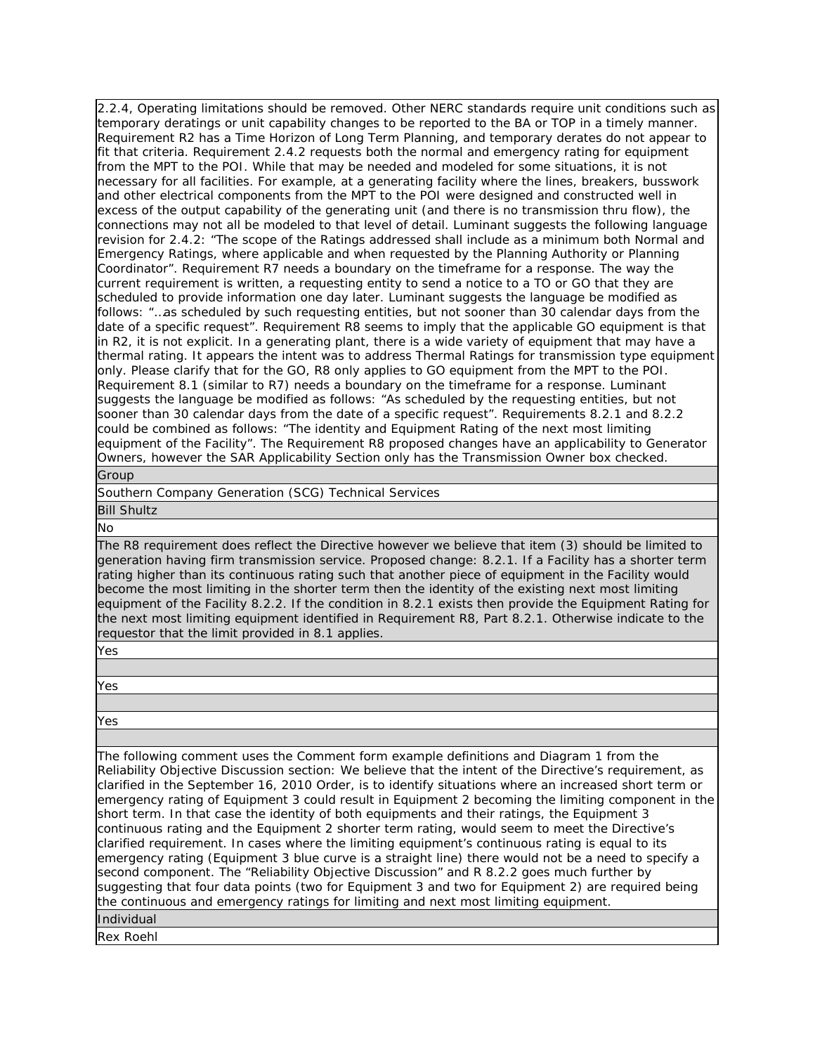2.2.4, Operating limitations should be removed. Other NERC standards require unit conditions such as temporary deratings or unit capability changes to be reported to the BA or TOP in a timely manner. Requirement R2 has a Time Horizon of Long Term Planning, and temporary derates do not appear to fit that criteria. Requirement 2.4.2 requests both the normal and emergency rating for equipment from the MPT to the POI. While that may be needed and modeled for some situations, it is not necessary for all facilities. For example, at a generating facility where the lines, breakers, busswork and other electrical components from the MPT to the POI were designed and constructed well in excess of the output capability of the generating unit (and there is no transmission thru flow), the connections may not all be modeled to that level of detail. Luminant suggests the following language revision for 2.4.2: "The scope of the Ratings addressed shall include as a minimum both Normal and Emergency Ratings, where applicable and when requested by the Planning Authority or Planning Coordinator". Requirement R7 needs a boundary on the timeframe for a response. The way the current requirement is written, a requesting entity to send a notice to a TO or GO that they are scheduled to provide information one day later. Luminant suggests the language be modified as follows: "…as scheduled by such requesting entities, but not sooner than 30 calendar days from the date of a specific request". Requirement R8 seems to imply that the applicable GO equipment is that in R2, it is not explicit. In a generating plant, there is a wide variety of equipment that may have a thermal rating. It appears the intent was to address Thermal Ratings for transmission type equipment only. Please clarify that for the GO, R8 only applies to GO equipment from the MPT to the POI. Requirement 8.1 (similar to R7) needs a boundary on the timeframe for a response. Luminant suggests the language be modified as follows: "As scheduled by the requesting entities, but not sooner than 30 calendar days from the date of a specific request". Requirements 8.2.1 and 8.2.2 could be combined as follows: "The identity and Equipment Rating of the next most limiting equipment of the Facility". The Requirement R8 proposed changes have an applicability to Generator Owners, however the SAR Applicability Section only has the Transmission Owner box checked.

Group

Southern Company Generation (SCG) Technical Services

Bill Shultz

No

The R8 requirement does reflect the Directive however we believe that item (3) should be limited to generation having firm transmission service. Proposed change: 8.2.1. If a Facility has a shorter term rating higher than its continuous rating such that another piece of equipment in the Facility would become the most limiting in the shorter term then the identity of the existing next most limiting equipment of the Facility 8.2.2. If the condition in 8.2.1 exists then provide the Equipment Rating for the next most limiting equipment identified in Requirement R8, Part 8.2.1. Otherwise indicate to the requestor that the limit provided in 8.1 applies.

Yes

Yes

Yes

The following comment uses the Comment form example definitions and Diagram 1 from the Reliability Objective Discussion section: We believe that the intent of the Directive's requirement, as clarified in the September 16, 2010 Order, is to identify situations where an increased short term or emergency rating of Equipment 3 could result in Equipment 2 becoming the limiting component in the short term. In that case the identity of both equipments and their ratings, the Equipment 3 continuous rating and the Equipment 2 shorter term rating, would seem to meet the Directive's clarified requirement. In cases where the limiting equipment's continuous rating is equal to its emergency rating (Equipment 3 blue curve is a straight line) there would not be a need to specify a second component. The "Reliability Objective Discussion" and R 8.2.2 goes much further by suggesting that four data points (two for Equipment 3 and two for Equipment 2) are required being the continuous and emergency ratings for limiting and next most limiting equipment. Individual

Rex Roehl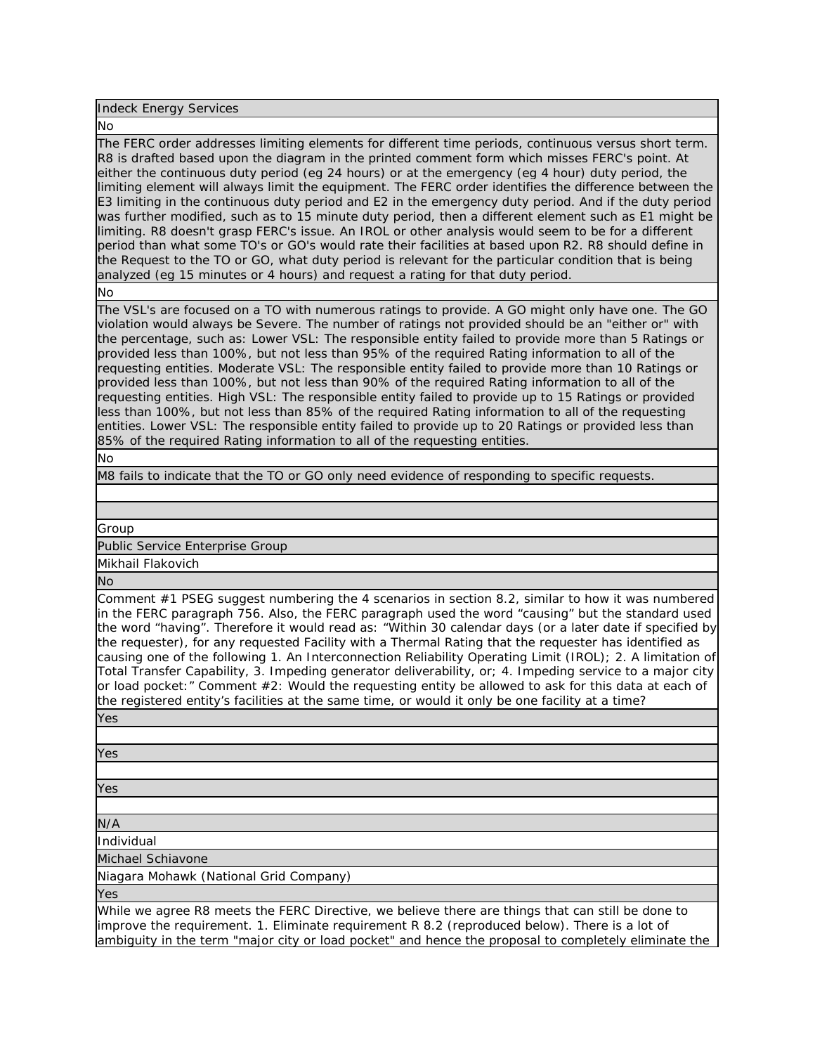Indeck Energy Services

#### No

The FERC order addresses limiting elements for different time periods, continuous versus short term. R8 is drafted based upon the diagram in the printed comment form which misses FERC's point. At either the continuous duty period (eg 24 hours) or at the emergency (eg 4 hour) duty period, the limiting element will always limit the equipment. The FERC order identifies the difference between the E3 limiting in the continuous duty period and E2 in the emergency duty period. And if the duty period was further modified, such as to 15 minute duty period, then a different element such as E1 might be limiting. R8 doesn't grasp FERC's issue. An IROL or other analysis would seem to be for a different period than what some TO's or GO's would rate their facilities at based upon R2. R8 should define in the Request to the TO or GO, what duty period is relevant for the particular condition that is being analyzed (eg 15 minutes or 4 hours) and request a rating for that duty period.

No

The VSL's are focused on a TO with numerous ratings to provide. A GO might only have one. The GO violation would always be Severe. The number of ratings not provided should be an "either or" with the percentage, such as: Lower VSL: The responsible entity failed to provide more than 5 Ratings or provided less than 100%, but not less than 95% of the required Rating information to all of the requesting entities. Moderate VSL: The responsible entity failed to provide more than 10 Ratings or provided less than 100%, but not less than 90% of the required Rating information to all of the requesting entities. High VSL: The responsible entity failed to provide up to 15 Ratings or provided less than 100%, but not less than 85% of the required Rating information to all of the requesting entities. Lower VSL: The responsible entity failed to provide up to 20 Ratings or provided less than 85% of the required Rating information to all of the requesting entities.

No

M8 fails to indicate that the TO or GO only need evidence of responding to specific requests.

Group

Public Service Enterprise Group

Mikhail Flakovich

No

Comment #1 PSEG suggest numbering the 4 scenarios in section 8.2, similar to how it was numbered in the FERC paragraph 756. Also, the FERC paragraph used the word "causing" but the standard used the word "having". Therefore it would read as: "Within 30 calendar days (or a later date if specified by the requester), for any requested Facility with a Thermal Rating that the requester has identified as causing one of the following 1. An Interconnection Reliability Operating Limit (IROL); 2. A limitation of Total Transfer Capability, 3. Impeding generator deliverability, or; 4. Impeding service to a major city or load pocket:" Comment #2: Would the requesting entity be allowed to ask for this data at each of the registered entity's facilities at the same time, or would it only be one facility at a time?

Yes

Yes

Yes

N/A

Individual

Michael Schiavone

Niagara Mohawk (National Grid Company)

Yes

While we agree R8 meets the FERC Directive, we believe there are things that can still be done to improve the requirement. 1. Eliminate requirement R 8.2 (reproduced below). There is a lot of ambiguity in the term "major city or load pocket" and hence the proposal to completely eliminate the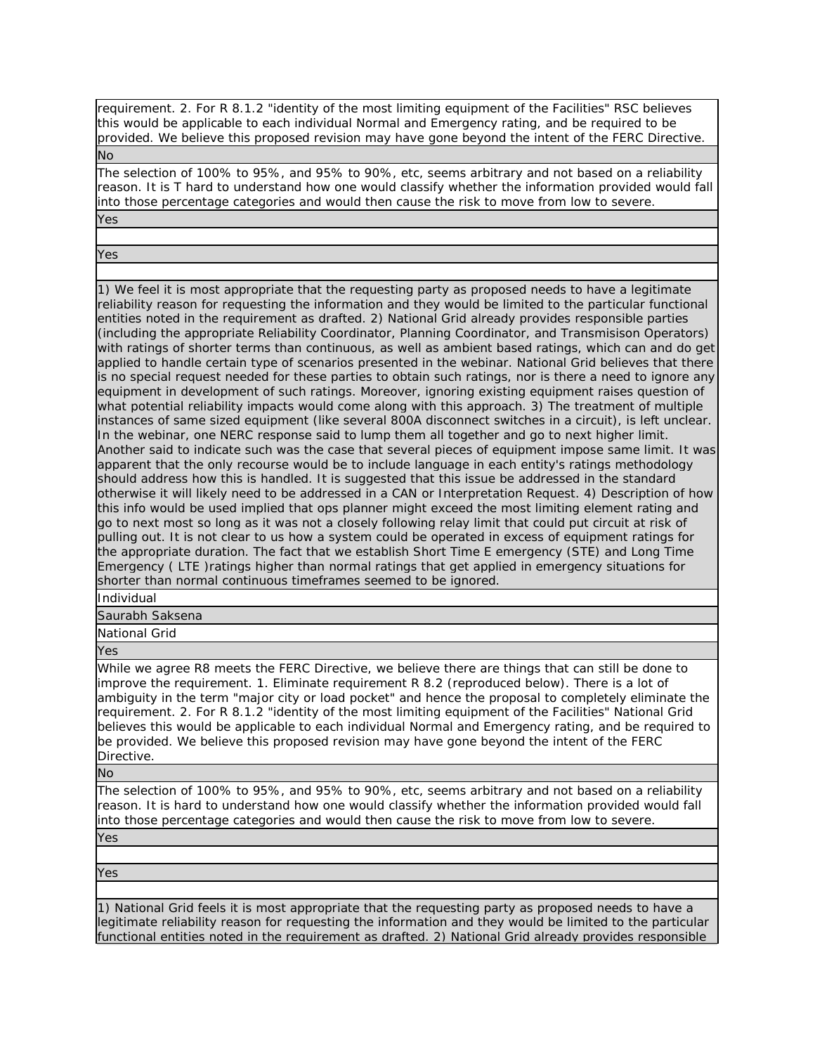requirement. 2. For R 8.1.2 "identity of the most limiting equipment of the Facilities" RSC believes this would be applicable to each individual Normal and Emergency rating, and be required to be provided. We believe this proposed revision may have gone beyond the intent of the FERC Directive. No

The selection of 100% to 95%, and 95% to 90%, etc, seems arbitrary and not based on a reliability reason. It is T hard to understand how one would classify whether the information provided would fall into those percentage categories and would then cause the risk to move from low to severe. Yes

Yes

1) We feel it is most appropriate that the requesting party as proposed needs to have a legitimate reliability reason for requesting the information and they would be limited to the particular functional entities noted in the requirement as drafted. 2) National Grid already provides responsible parties (including the appropriate Reliability Coordinator, Planning Coordinator, and Transmisison Operators) with ratings of shorter terms than continuous, as well as ambient based ratings, which can and do get applied to handle certain type of scenarios presented in the webinar. National Grid believes that there is no special request needed for these parties to obtain such ratings, nor is there a need to ignore any equipment in development of such ratings. Moreover, ignoring existing equipment raises question of what potential reliability impacts would come along with this approach. 3) The treatment of multiple instances of same sized equipment (like several 800A disconnect switches in a circuit), is left unclear. In the webinar, one NERC response said to lump them all together and go to next higher limit. Another said to indicate such was the case that several pieces of equipment impose same limit. It was apparent that the only recourse would be to include language in each entity's ratings methodology should address how this is handled. It is suggested that this issue be addressed in the standard otherwise it will likely need to be addressed in a CAN or Interpretation Request. 4) Description of how this info would be used implied that ops planner might exceed the most limiting element rating and go to next most so long as it was not a closely following relay limit that could put circuit at risk of pulling out. It is not clear to us how a system could be operated in excess of equipment ratings for the appropriate duration. The fact that we establish Short Time E emergency (STE) and Long Time Emergency ( LTE )ratings higher than normal ratings that get applied in emergency situations for shorter than normal continuous timeframes seemed to be ignored.

Individual

Saurabh Saksena

National Grid

Yes

While we agree R8 meets the FERC Directive, we believe there are things that can still be done to improve the requirement. 1. Eliminate requirement R 8.2 (reproduced below). There is a lot of ambiguity in the term "major city or load pocket" and hence the proposal to completely eliminate the requirement. 2. For R 8.1.2 "identity of the most limiting equipment of the Facilities" National Grid believes this would be applicable to each individual Normal and Emergency rating, and be required to be provided. We believe this proposed revision may have gone beyond the intent of the FERC Directive.

No

The selection of 100% to 95%, and 95% to 90%, etc, seems arbitrary and not based on a reliability reason. It is hard to understand how one would classify whether the information provided would fall into those percentage categories and would then cause the risk to move from low to severe. Yes

Yes

1) National Grid feels it is most appropriate that the requesting party as proposed needs to have a legitimate reliability reason for requesting the information and they would be limited to the particular functional entities noted in the requirement as drafted. 2) National Grid already provides responsible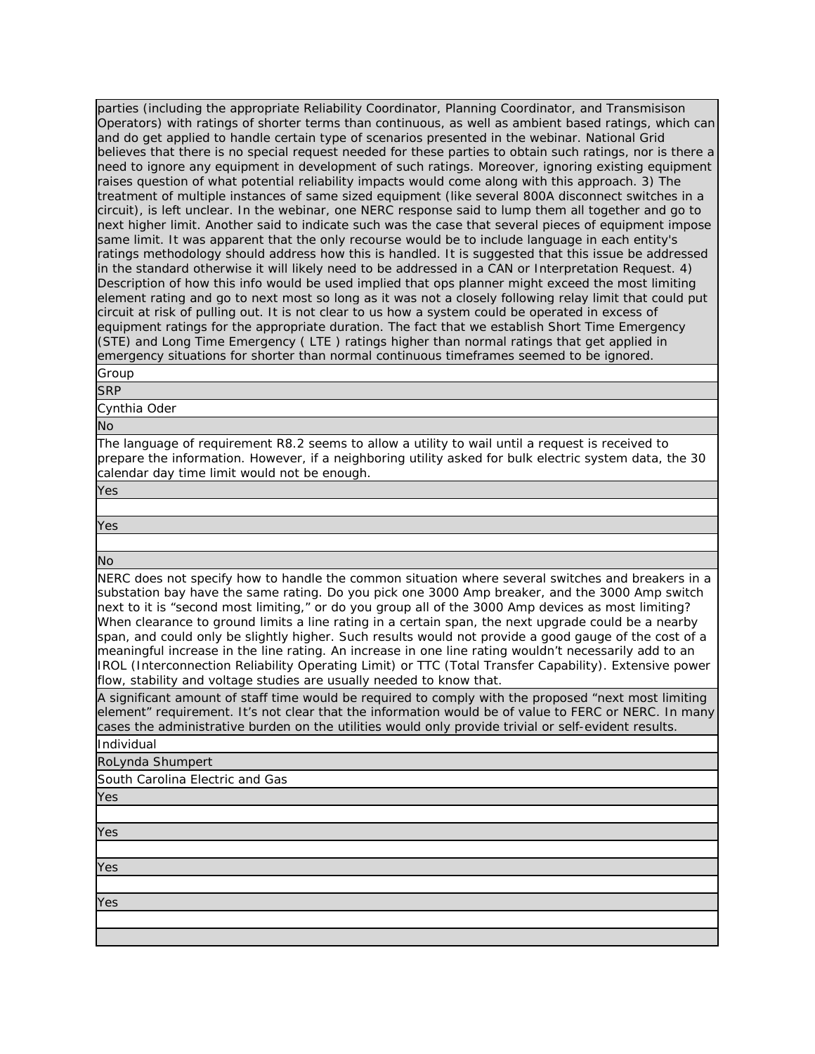parties (including the appropriate Reliability Coordinator, Planning Coordinator, and Transmisison Operators) with ratings of shorter terms than continuous, as well as ambient based ratings, which can and do get applied to handle certain type of scenarios presented in the webinar. National Grid believes that there is no special request needed for these parties to obtain such ratings, nor is there a need to ignore any equipment in development of such ratings. Moreover, ignoring existing equipment raises question of what potential reliability impacts would come along with this approach. 3) The treatment of multiple instances of same sized equipment (like several 800A disconnect switches in a circuit), is left unclear. In the webinar, one NERC response said to lump them all together and go to next higher limit. Another said to indicate such was the case that several pieces of equipment impose same limit. It was apparent that the only recourse would be to include language in each entity's ratings methodology should address how this is handled. It is suggested that this issue be addressed in the standard otherwise it will likely need to be addressed in a CAN or Interpretation Request. 4) Description of how this info would be used implied that ops planner might exceed the most limiting element rating and go to next most so long as it was not a closely following relay limit that could put circuit at risk of pulling out. It is not clear to us how a system could be operated in excess of equipment ratings for the appropriate duration. The fact that we establish Short Time Emergency (STE) and Long Time Emergency ( LTE ) ratings higher than normal ratings that get applied in emergency situations for shorter than normal continuous timeframes seemed to be ignored.

### Group **SRP**

Cynthia Oder

No

The language of requirement R8.2 seems to allow a utility to wail until a request is received to prepare the information. However, if a neighboring utility asked for bulk electric system data, the 30 calendar day time limit would not be enough.

# Yes

Yes

No

NERC does not specify how to handle the common situation where several switches and breakers in a substation bay have the same rating. Do you pick one 3000 Amp breaker, and the 3000 Amp switch next to it is "second most limiting," or do you group all of the 3000 Amp devices as most limiting? When clearance to ground limits a line rating in a certain span, the next upgrade could be a nearby span, and could only be slightly higher. Such results would not provide a good gauge of the cost of a meaningful increase in the line rating. An increase in one line rating wouldn't necessarily add to an IROL (Interconnection Reliability Operating Limit) or TTC (Total Transfer Capability). Extensive power flow, stability and voltage studies are usually needed to know that.

A significant amount of staff time would be required to comply with the proposed "next most limiting element" requirement. It's not clear that the information would be of value to FERC or NERC. In many cases the administrative burden on the utilities would only provide trivial or self-evident results.

Individual

RoLynda Shumpert

South Carolina Electric and Gas

Yes Yes

Yes

Yes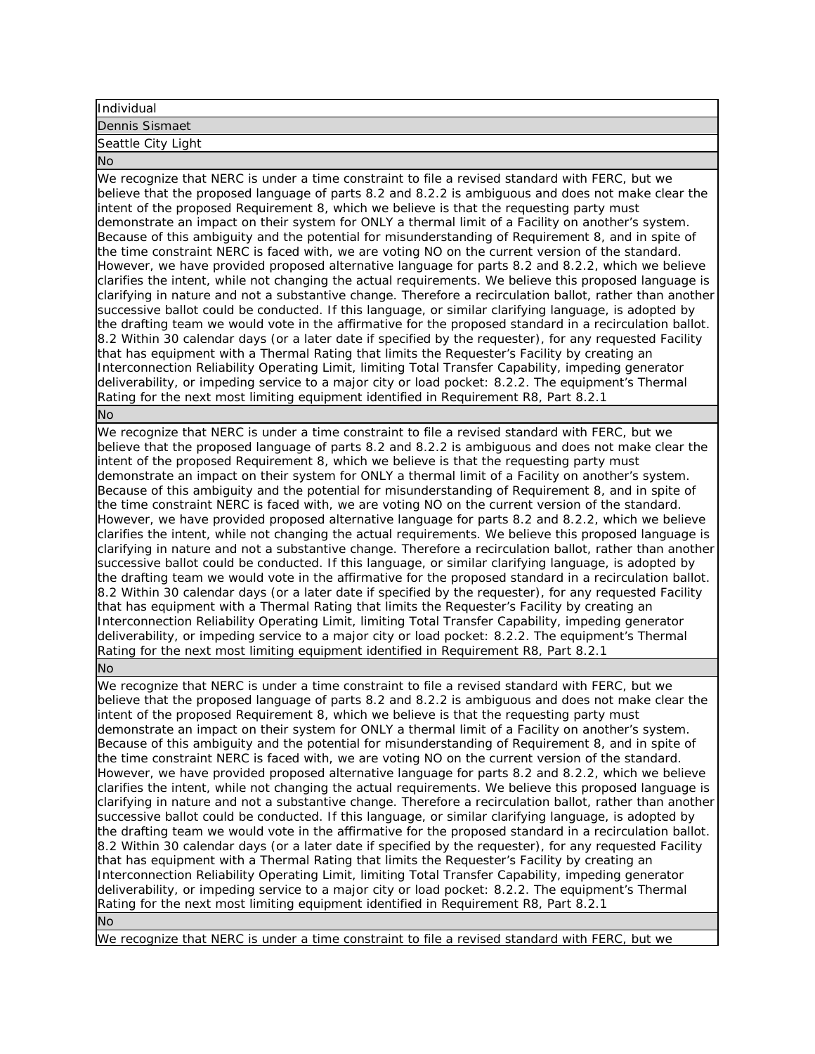# Individual

Dennis Sismaet Seattle City Light

No

We recognize that NERC is under a time constraint to file a revised standard with FERC, but we believe that the proposed language of parts 8.2 and 8.2.2 is ambiguous and does not make clear the intent of the proposed Requirement 8, which we believe is that the requesting party must demonstrate an impact on their system for ONLY a thermal limit of a Facility on another's system. Because of this ambiguity and the potential for misunderstanding of Requirement 8, and in spite of the time constraint NERC is faced with, we are voting NO on the current version of the standard. However, we have provided proposed alternative language for parts 8.2 and 8.2.2, which we believe clarifies the intent, while not changing the actual requirements. We believe this proposed language is clarifying in nature and not a substantive change. Therefore a recirculation ballot, rather than another successive ballot could be conducted. If this language, or similar clarifying language, is adopted by the drafting team we would vote in the affirmative for the proposed standard in a recirculation ballot. 8.2 Within 30 calendar days (or a later date if specified by the requester), for any requested Facility that has equipment with a Thermal Rating that limits the Requester's Facility by creating an Interconnection Reliability Operating Limit, limiting Total Transfer Capability, impeding generator deliverability, or impeding service to a major city or load pocket: 8.2.2. The equipment's Thermal Rating for the next most limiting equipment identified in Requirement R8, Part 8.2.1 No

We recognize that NERC is under a time constraint to file a revised standard with FERC, but we believe that the proposed language of parts 8.2 and 8.2.2 is ambiguous and does not make clear the intent of the proposed Requirement 8, which we believe is that the requesting party must demonstrate an impact on their system for ONLY a thermal limit of a Facility on another's system. Because of this ambiguity and the potential for misunderstanding of Requirement 8, and in spite of the time constraint NERC is faced with, we are voting NO on the current version of the standard. However, we have provided proposed alternative language for parts 8.2 and 8.2.2, which we believe clarifies the intent, while not changing the actual requirements. We believe this proposed language is clarifying in nature and not a substantive change. Therefore a recirculation ballot, rather than another successive ballot could be conducted. If this language, or similar clarifying language, is adopted by the drafting team we would vote in the affirmative for the proposed standard in a recirculation ballot. 8.2 Within 30 calendar days (or a later date if specified by the requester), for any requested Facility that has equipment with a Thermal Rating that limits the Requester's Facility by creating an Interconnection Reliability Operating Limit, limiting Total Transfer Capability, impeding generator deliverability, or impeding service to a major city or load pocket: 8.2.2. The equipment's Thermal Rating for the next most limiting equipment identified in Requirement R8, Part 8.2.1

No

We recognize that NERC is under a time constraint to file a revised standard with FERC, but we believe that the proposed language of parts 8.2 and 8.2.2 is ambiguous and does not make clear the intent of the proposed Requirement 8, which we believe is that the requesting party must demonstrate an impact on their system for ONLY a thermal limit of a Facility on another's system. Because of this ambiguity and the potential for misunderstanding of Requirement 8, and in spite of the time constraint NERC is faced with, we are voting NO on the current version of the standard. However, we have provided proposed alternative language for parts 8.2 and 8.2.2, which we believe clarifies the intent, while not changing the actual requirements. We believe this proposed language is clarifying in nature and not a substantive change. Therefore a recirculation ballot, rather than another successive ballot could be conducted. If this language, or similar clarifying language, is adopted by the drafting team we would vote in the affirmative for the proposed standard in a recirculation ballot. 8.2 Within 30 calendar days (or a later date if specified by the requester), for any requested Facility that has equipment with a Thermal Rating that limits the Requester's Facility by creating an Interconnection Reliability Operating Limit, limiting Total Transfer Capability, impeding generator deliverability, or impeding service to a major city or load pocket: 8.2.2. The equipment's Thermal Rating for the next most limiting equipment identified in Requirement R8, Part 8.2.1 No

We recognize that NERC is under a time constraint to file a revised standard with FERC, but we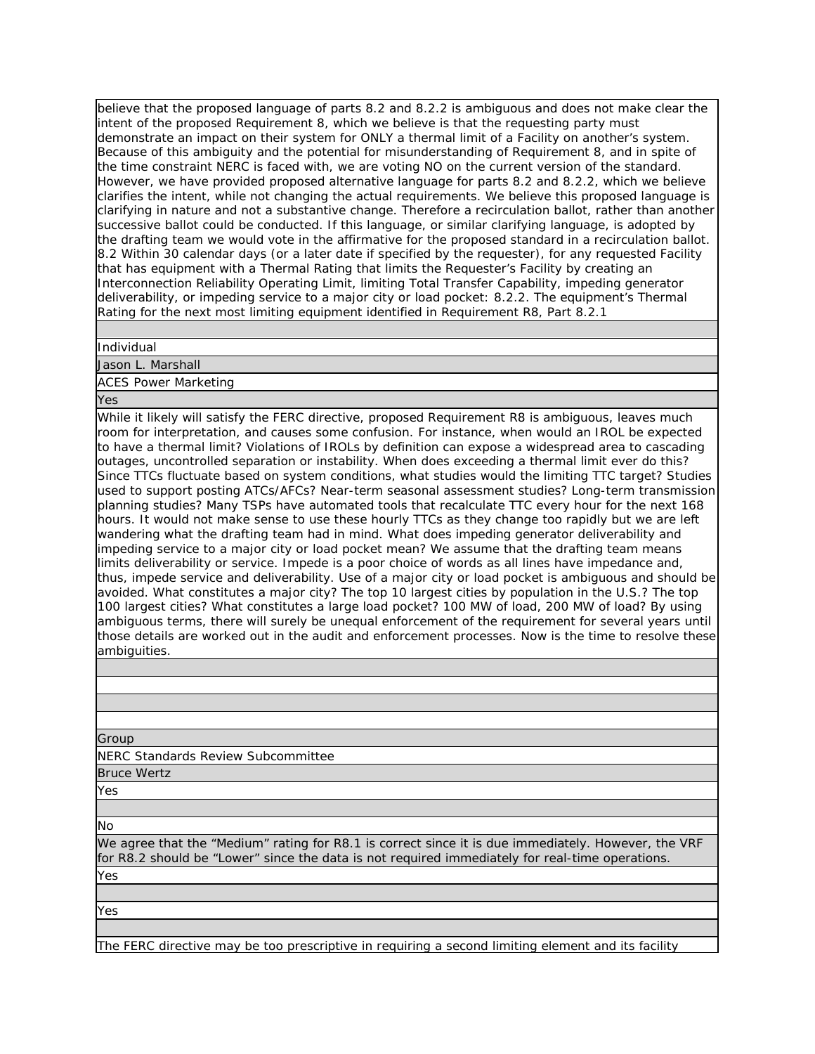believe that the proposed language of parts 8.2 and 8.2.2 is ambiguous and does not make clear the intent of the proposed Requirement 8, which we believe is that the requesting party must demonstrate an impact on their system for ONLY a thermal limit of a Facility on another's system. Because of this ambiguity and the potential for misunderstanding of Requirement 8, and in spite of the time constraint NERC is faced with, we are voting NO on the current version of the standard. However, we have provided proposed alternative language for parts 8.2 and 8.2.2, which we believe clarifies the intent, while not changing the actual requirements. We believe this proposed language is clarifying in nature and not a substantive change. Therefore a recirculation ballot, rather than another successive ballot could be conducted. If this language, or similar clarifying language, is adopted by the drafting team we would vote in the affirmative for the proposed standard in a recirculation ballot. 8.2 Within 30 calendar days (or a later date if specified by the requester), for any requested Facility that has equipment with a Thermal Rating that limits the Requester's Facility by creating an Interconnection Reliability Operating Limit, limiting Total Transfer Capability, impeding generator deliverability, or impeding service to a major city or load pocket: 8.2.2. The equipment's Thermal Rating for the next most limiting equipment identified in Requirement R8, Part 8.2.1

Individual

Jason L. Marshall

ACES Power Marketing

Yes

While it likely will satisfy the FERC directive, proposed Requirement R8 is ambiguous, leaves much room for interpretation, and causes some confusion. For instance, when would an IROL be expected to have a thermal limit? Violations of IROLs by definition can expose a widespread area to cascading outages, uncontrolled separation or instability. When does exceeding a thermal limit ever do this? Since TTCs fluctuate based on system conditions, what studies would the limiting TTC target? Studies used to support posting ATCs/AFCs? Near-term seasonal assessment studies? Long-term transmission planning studies? Many TSPs have automated tools that recalculate TTC every hour for the next 168 hours. It would not make sense to use these hourly TTCs as they change too rapidly but we are left wandering what the drafting team had in mind. What does impeding generator deliverability and impeding service to a major city or load pocket mean? We assume that the drafting team means limits deliverability or service. Impede is a poor choice of words as all lines have impedance and, thus, impede service and deliverability. Use of a major city or load pocket is ambiguous and should be avoided. What constitutes a major city? The top 10 largest cities by population in the U.S.? The top 100 largest cities? What constitutes a large load pocket? 100 MW of load, 200 MW of load? By using ambiguous terms, there will surely be unequal enforcement of the requirement for several years until those details are worked out in the audit and enforcement processes. Now is the time to resolve these ambiguities.

Group

NERC Standards Review Subcommittee

Bruce Wertz

Yes

No

We agree that the "Medium" rating for R8.1 is correct since it is due immediately. However, the VRF for R8.2 should be "Lower" since the data is not required immediately for real-time operations.

Yes

Yes

The FERC directive may be too prescriptive in requiring a second limiting element and its facility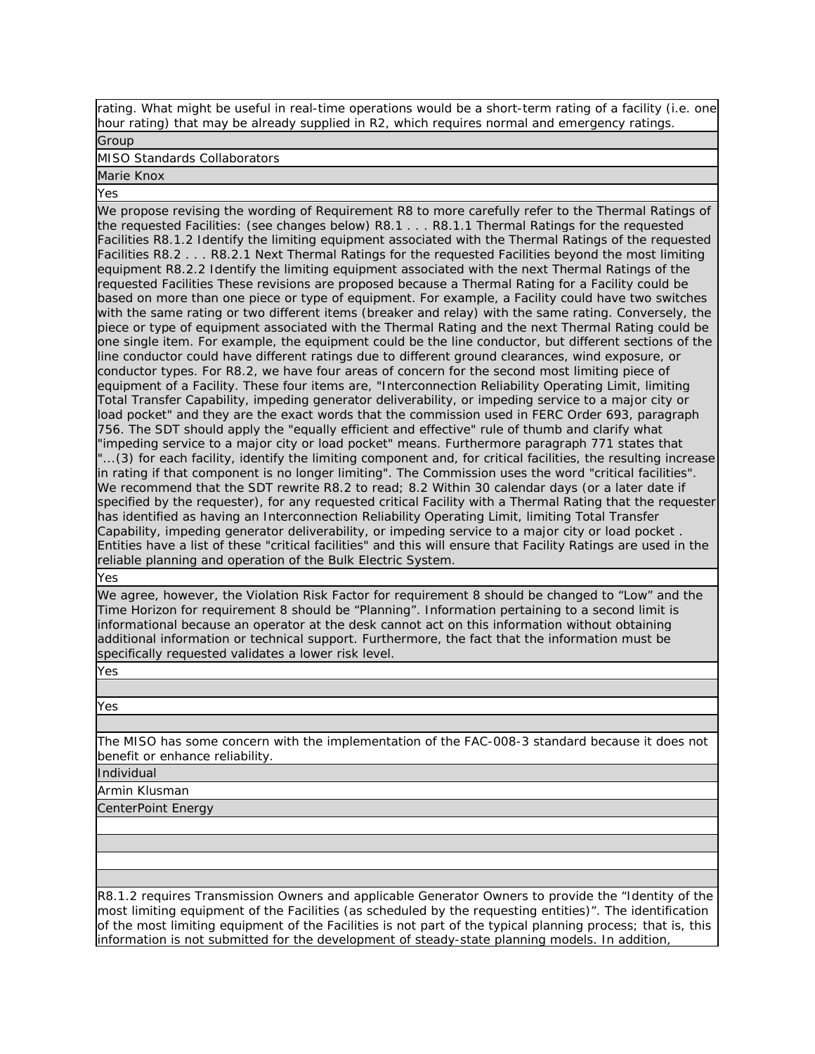rating. What might be useful in real-time operations would be a short-term rating of a facility (i.e. one hour rating) that may be already supplied in R2, which requires normal and emergency ratings.

Group

MISO Standards Collaborators

Marie Knox

Yes

We propose revising the wording of Requirement R8 to more carefully refer to the Thermal Ratings of the requested Facilities: (see changes below) R8.1 . . . R8.1.1 Thermal Ratings for the requested Facilities R8.1.2 Identify the limiting equipment associated with the Thermal Ratings of the requested Facilities R8.2 . . . R8.2.1 Next Thermal Ratings for the requested Facilities beyond the most limiting equipment R8.2.2 Identify the limiting equipment associated with the next Thermal Ratings of the requested Facilities These revisions are proposed because a Thermal Rating for a Facility could be based on more than one piece or type of equipment. For example, a Facility could have two switches with the same rating or two different items (breaker and relay) with the same rating. Conversely, the piece or type of equipment associated with the Thermal Rating and the next Thermal Rating could be one single item. For example, the equipment could be the line conductor, but different sections of the line conductor could have different ratings due to different ground clearances, wind exposure, or conductor types. For R8.2, we have four areas of concern for the second most limiting piece of equipment of a Facility. These four items are, "Interconnection Reliability Operating Limit, limiting Total Transfer Capability, impeding generator deliverability, or impeding service to a major city or load pocket" and they are the exact words that the commission used in FERC Order 693, paragraph 756. The SDT should apply the "equally efficient and effective" rule of thumb and clarify what "impeding service to a major city or load pocket" means. Furthermore paragraph 771 states that "...(3) for each facility, identify the limiting component and, for critical facilities, the resulting increase in rating if that component is no longer limiting". The Commission uses the word "critical facilities". We recommend that the SDT rewrite R8.2 to read; 8.2 Within 30 calendar days (or a later date if specified by the requester), for any requested critical Facility with a Thermal Rating that the requester has identified as having an Interconnection Reliability Operating Limit, limiting Total Transfer Capability, impeding generator deliverability, or impeding service to a major city or load pocket . Entities have a list of these "critical facilities" and this will ensure that Facility Ratings are used in the reliable planning and operation of the Bulk Electric System.

Yes

We agree, however, the Violation Risk Factor for requirement 8 should be changed to "Low" and the Time Horizon for requirement 8 should be "Planning". Information pertaining to a second limit is informational because an operator at the desk cannot act on this information without obtaining additional information or technical support. Furthermore, the fact that the information must be specifically requested validates a lower risk level.

Yes

Yes

The MISO has some concern with the implementation of the FAC-008-3 standard because it does not benefit or enhance reliability.

Individual

Armin Klusman

CenterPoint Energy

R8.1.2 requires Transmission Owners and applicable Generator Owners to provide the "Identity of the most limiting equipment of the Facilities (as scheduled by the requesting entities)". The identification of the most limiting equipment of the Facilities is not part of the typical planning process; that is, this information is not submitted for the development of steady-state planning models. In addition,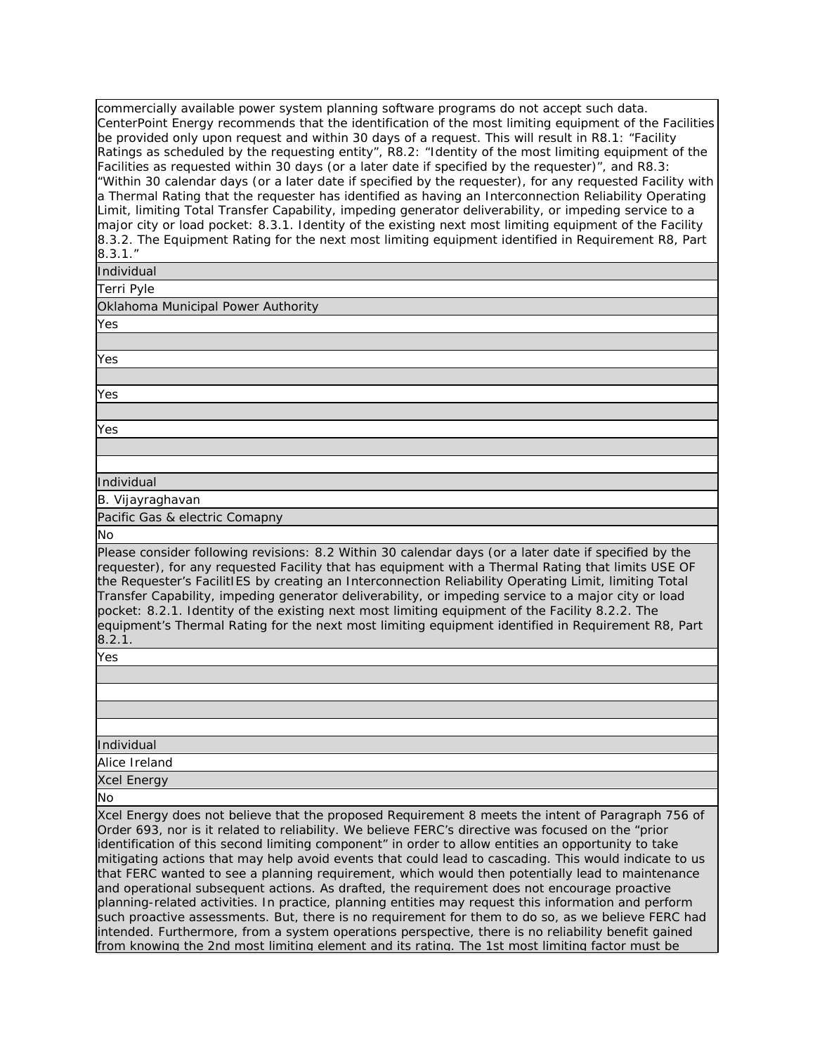commercially available power system planning software programs do not accept such data. CenterPoint Energy recommends that the identification of the most limiting equipment of the Facilities be provided only upon request and within 30 days of a request. This will result in R8.1: "Facility Ratings as scheduled by the requesting entity", R8.2: "Identity of the most limiting equipment of the Facilities as requested within 30 days (or a later date if specified by the requester)", and R8.3: "Within 30 calendar days (or a later date if specified by the requester), for any requested Facility with a Thermal Rating that the requester has identified as having an Interconnection Reliability Operating Limit, limiting Total Transfer Capability, impeding generator deliverability, or impeding service to a major city or load pocket: 8.3.1. Identity of the existing next most limiting equipment of the Facility 8.3.2. The Equipment Rating for the next most limiting equipment identified in Requirement R8, Part 8.3.1."

Individual

Terri Pyle

Oklahoma Municipal Power Authority

Yes

Yes

Yes

Yes

Individual

B. Vijayraghavan

Pacific Gas & electric Comapny

No

Please consider following revisions: 8.2 Within 30 calendar days (or a later date if specified by the requester), for any requested Facility that has equipment with a Thermal Rating that limits USE OF the Requester's FacilitIES by creating an Interconnection Reliability Operating Limit, limiting Total Transfer Capability, impeding generator deliverability, or impeding service to a major city or load pocket: 8.2.1. Identity of the existing next most limiting equipment of the Facility 8.2.2. The equipment's Thermal Rating for the next most limiting equipment identified in Requirement R8, Part 8.2.1.

Yes

Individual

Alice Ireland

Xcel Energy

No

Xcel Energy does not believe that the proposed Requirement 8 meets the intent of Paragraph 756 of Order 693, nor is it related to reliability. We believe FERC's directive was focused on the "prior identification of this second limiting component" in order to allow entities an opportunity to take mitigating actions that may help avoid events that could lead to cascading. This would indicate to us that FERC wanted to see a planning requirement, which would then potentially lead to maintenance and operational subsequent actions. As drafted, the requirement does not encourage proactive planning-related activities. In practice, planning entities may request this information and perform such proactive assessments. But, there is no requirement for them to do so, as we believe FERC had intended. Furthermore, from a system operations perspective, there is no reliability benefit gained from knowing the 2nd most limiting element and its rating. The 1st most limiting factor must be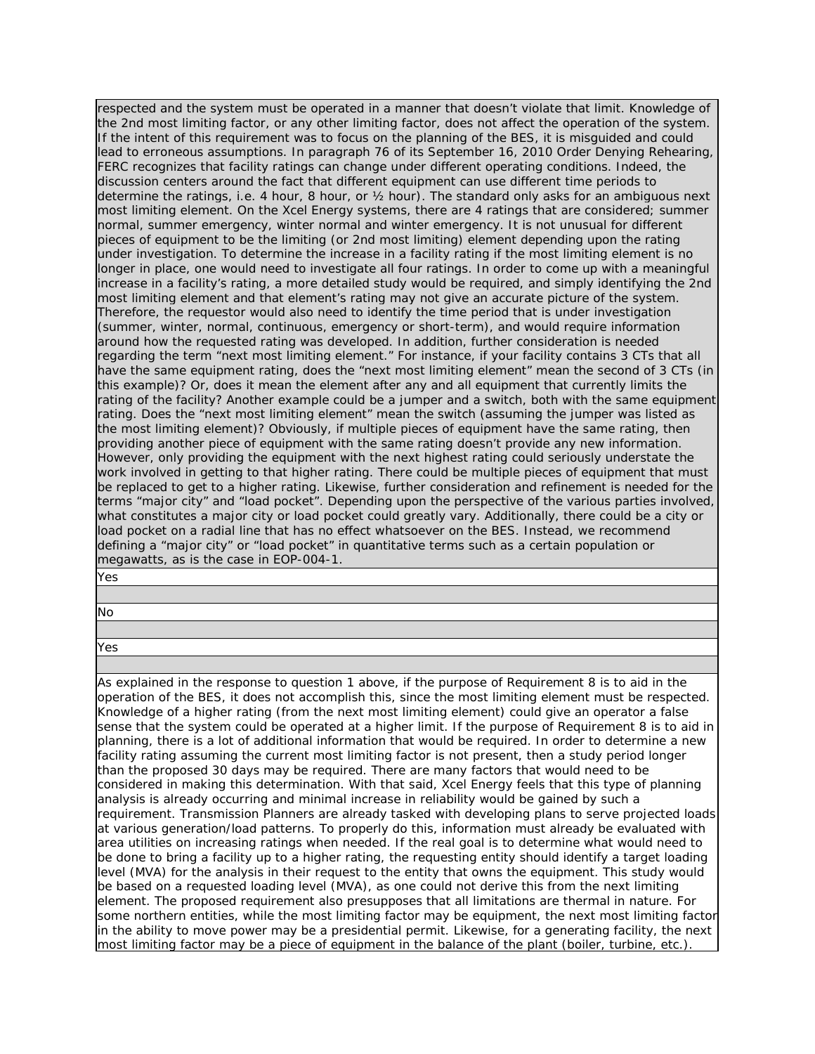respected and the system must be operated in a manner that doesn't violate that limit. Knowledge of the 2nd most limiting factor, or any other limiting factor, does not affect the operation of the system. If the intent of this requirement was to focus on the planning of the BES, it is misguided and could lead to erroneous assumptions. In paragraph 76 of its September 16, 2010 Order Denying Rehearing, FERC recognizes that facility ratings can change under different operating conditions. Indeed, the discussion centers around the fact that different equipment can use different time periods to determine the ratings, i.e. 4 hour, 8 hour, or ½ hour). The standard only asks for an ambiguous next most limiting element. On the Xcel Energy systems, there are 4 ratings that are considered; summer normal, summer emergency, winter normal and winter emergency. It is not unusual for different pieces of equipment to be the limiting (or 2nd most limiting) element depending upon the rating under investigation. To determine the increase in a facility rating if the most limiting element is no longer in place, one would need to investigate all four ratings. In order to come up with a meaningful increase in a facility's rating, a more detailed study would be required, and simply identifying the 2nd most limiting element and that element's rating may not give an accurate picture of the system. Therefore, the requestor would also need to identify the time period that is under investigation (summer, winter, normal, continuous, emergency or short-term), and would require information around how the requested rating was developed. In addition, further consideration is needed regarding the term "next most limiting element." For instance, if your facility contains 3 CTs that all have the same equipment rating, does the "next most limiting element" mean the second of 3 CTs (in this example)? Or, does it mean the element after any and all equipment that currently limits the rating of the facility? Another example could be a jumper and a switch, both with the same equipment rating. Does the "next most limiting element" mean the switch (assuming the jumper was listed as the most limiting element)? Obviously, if multiple pieces of equipment have the same rating, then providing another piece of equipment with the same rating doesn't provide any new information. However, only providing the equipment with the next highest rating could seriously understate the work involved in getting to that higher rating. There could be multiple pieces of equipment that must be replaced to get to a higher rating. Likewise, further consideration and refinement is needed for the terms "major city" and "load pocket". Depending upon the perspective of the various parties involved, what constitutes a major city or load pocket could greatly vary. Additionally, there could be a city or load pocket on a radial line that has no effect whatsoever on the BES. Instead, we recommend defining a "major city" or "load pocket" in quantitative terms such as a certain population or megawatts, as is the case in EOP-004-1.

Yes

No

Yes

As explained in the response to question 1 above, if the purpose of Requirement 8 is to aid in the operation of the BES, it does not accomplish this, since the most limiting element must be respected. Knowledge of a higher rating (from the next most limiting element) could give an operator a false sense that the system could be operated at a higher limit. If the purpose of Requirement 8 is to aid in planning, there is a lot of additional information that would be required. In order to determine a new facility rating assuming the current most limiting factor is not present, then a study period longer than the proposed 30 days may be required. There are many factors that would need to be considered in making this determination. With that said, Xcel Energy feels that this type of planning analysis is already occurring and minimal increase in reliability would be gained by such a requirement. Transmission Planners are already tasked with developing plans to serve projected loads at various generation/load patterns. To properly do this, information must already be evaluated with area utilities on increasing ratings when needed. If the real goal is to determine what would need to be done to bring a facility up to a higher rating, the requesting entity should identify a target loading level (MVA) for the analysis in their request to the entity that owns the equipment. This study would be based on a requested loading level (MVA), as one could not derive this from the next limiting element. The proposed requirement also presupposes that all limitations are thermal in nature. For some northern entities, while the most limiting factor may be equipment, the next most limiting factor in the ability to move power may be a presidential permit. Likewise, for a generating facility, the next most limiting factor may be a piece of equipment in the balance of the plant (boiler, turbine, etc.).